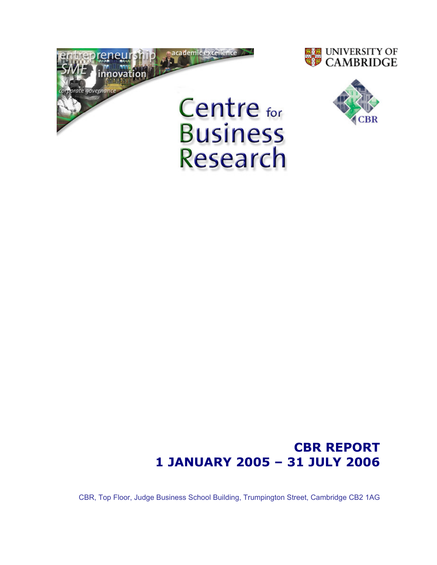





# CBR REPORT 1 JANUARY 2005 – 31 JULY 2006

CBR, Top Floor, Judge Business School Building, Trumpington Street, Cambridge CB2 1AG

Research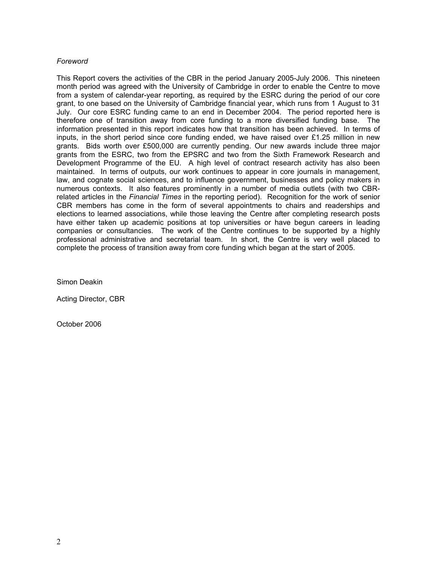# Foreword

This Report covers the activities of the CBR in the period January 2005-July 2006. This nineteen month period was agreed with the University of Cambridge in order to enable the Centre to move from a system of calendar-year reporting, as required by the ESRC during the period of our core grant, to one based on the University of Cambridge financial year, which runs from 1 August to 31 July. Our core ESRC funding came to an end in December 2004. The period reported here is therefore one of transition away from core funding to a more diversified funding base. The information presented in this report indicates how that transition has been achieved. In terms of inputs, in the short period since core funding ended, we have raised over  $£1.25$  million in new grants. Bids worth over £500,000 are currently pending. Our new awards include three major grants from the ESRC, two from the EPSRC and two from the Sixth Framework Research and Development Programme of the EU. A high level of contract research activity has also been maintained. In terms of outputs, our work continues to appear in core journals in management, law, and cognate social sciences, and to influence government, businesses and policy makers in numerous contexts. It also features prominently in a number of media outlets (with two CBRrelated articles in the Financial Times in the reporting period). Recognition for the work of senior CBR members has come in the form of several appointments to chairs and readerships and elections to learned associations, while those leaving the Centre after completing research posts have either taken up academic positions at top universities or have begun careers in leading companies or consultancies. The work of the Centre continues to be supported by a highly professional administrative and secretarial team. In short, the Centre is very well placed to complete the process of transition away from core funding which began at the start of 2005.

Simon Deakin

Acting Director, CBR

October 2006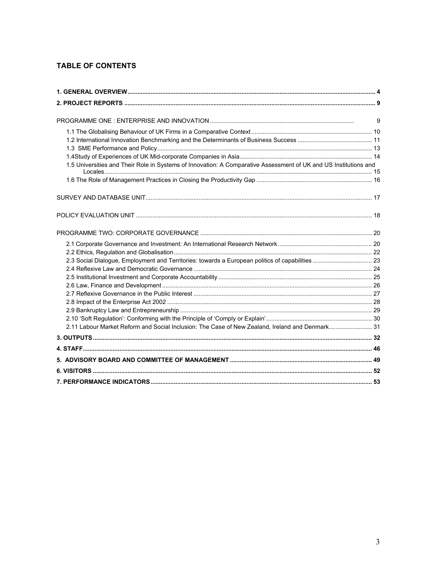# **TABLE OF CONTENTS**

|                                                                                                                  | 9 |
|------------------------------------------------------------------------------------------------------------------|---|
|                                                                                                                  |   |
|                                                                                                                  |   |
|                                                                                                                  |   |
| 1.5 Universities and Their Role in Systems of Innovation: A Comparative Assessment of UK and US Institutions and |   |
|                                                                                                                  |   |
|                                                                                                                  |   |
|                                                                                                                  |   |
|                                                                                                                  |   |
|                                                                                                                  |   |
|                                                                                                                  |   |
|                                                                                                                  |   |
|                                                                                                                  |   |
|                                                                                                                  |   |
|                                                                                                                  |   |
|                                                                                                                  |   |
|                                                                                                                  |   |
|                                                                                                                  |   |
|                                                                                                                  |   |
|                                                                                                                  |   |
|                                                                                                                  |   |
| 2.11 Labour Market Reform and Social Inclusion: The Case of New Zealand, Ireland and Denmark 31                  |   |
|                                                                                                                  |   |
|                                                                                                                  |   |
|                                                                                                                  |   |
|                                                                                                                  |   |
|                                                                                                                  |   |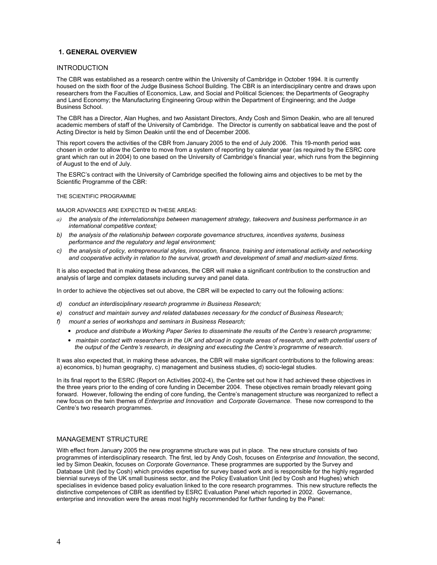### 1. GENERAL OVERVIEW

### INTRODUCTION

The CBR was established as a research centre within the University of Cambridge in October 1994. It is currently housed on the sixth floor of the Judge Business School Building. The CBR is an interdisciplinary centre and draws upon researchers from the Faculties of Economics, Law, and Social and Political Sciences; the Departments of Geography and Land Economy; the Manufacturing Engineering Group within the Department of Engineering; and the Judge Business School.

The CBR has a Director, Alan Hughes, and two Assistant Directors, Andy Cosh and Simon Deakin, who are all tenured academic members of staff of the University of Cambridge. The Director is currently on sabbatical leave and the post of Acting Director is held by Simon Deakin until the end of December 2006.

This report covers the activities of the CBR from January 2005 to the end of July 2006. This 19-month period was chosen in order to allow the Centre to move from a system of reporting by calendar year (as required by the ESRC core grant which ran out in 2004) to one based on the University of Cambridge's financial year, which runs from the beginning of August to the end of July.

The ESRC's contract with the University of Cambridge specified the following aims and objectives to be met by the Scientific Programme of the CBR:

THE SCIENTIFIC PROGRAMME

MAJOR ADVANCES ARE EXPECTED IN THESE AREAS:

- a) the analysis of the interrelationships between management strategy, takeovers and business performance in an international competitive context;
- b) the analysis of the relationship between corporate governance structures, incentives systems, business performance and the regulatory and legal environment;
- c) the analysis of policy, entrepreneurial styles, innovation, finance, training and international activity and networking and cooperative activity in relation to the survival, growth and development of small and medium-sized firms.

It is also expected that in making these advances, the CBR will make a significant contribution to the construction and analysis of large and complex datasets including survey and panel data.

In order to achieve the objectives set out above, the CBR will be expected to carry out the following actions:

- d) conduct an interdisciplinary research programme in Business Research;
- e) construct and maintain survey and related databases necessary for the conduct of Business Research;
- f) mount a series of workshops and seminars in Business Research;
	- produce and distribute a Working Paper Series to disseminate the results of the Centre's research programme;
	- maintain contact with researchers in the UK and abroad in cognate areas of research, and with potential users of the output of the Centre's research, in designing and executing the Centre's programme of research.

It was also expected that, in making these advances, the CBR will make significant contributions to the following areas: a) economics, b) human geography, c) management and business studies, d) socio-legal studies.

In its final report to the ESRC (Report on Activities 2002-4), the Centre set out how it had achieved these objectives in the three years prior to the ending of core funding in December 2004. These objectives remain broadly relevant going forward. However, following the ending of core funding, the Centre's management structure was reorganized to reflect a new focus on the twin themes of Enterprise and Innovation and Corporate Governance. These now correspond to the Centre's two research programmes.

### MANAGEMENT STRUCTURE

With effect from January 2005 the new programme structure was put in place. The new structure consists of two programmes of interdisciplinary research. The first, led by Andy Cosh, focuses on Enterprise and Innovation, the second, led by Simon Deakin, focuses on Corporate Governance. These programmes are supported by the Survey and Database Unit (led by Cosh) which provides expertise for survey based work and is responsible for the highly regarded biennial surveys of the UK small business sector, and the Policy Evaluation Unit (led by Cosh and Hughes) which specialises in evidence based policy evaluation linked to the core research programmes. This new structure reflects the distinctive competences of CBR as identified by ESRC Evaluation Panel which reported in 2002. Governance, enterprise and innovation were the areas most highly recommended for further funding by the Panel: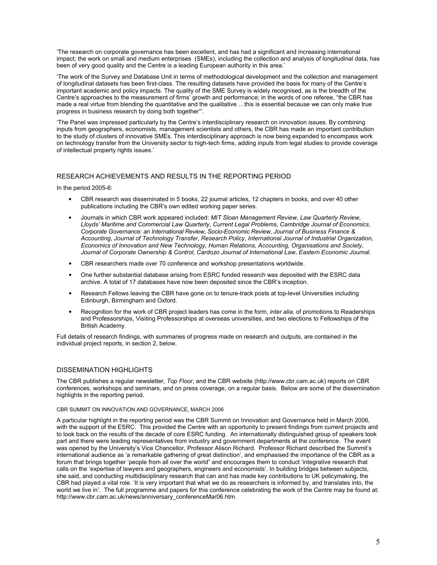'The research on corporate governance has been excellent, and has had a significant and increasing international impact; the work on small and medium enterprises (SMEs), including the collection and analysis of longitudinal data, has been of very good quality and the Centre is a leading European authority in this area.'

'The work of the Survey and Database Unit in terms of methodological development and the collection and management of longitudinal datasets has been first-class. The resulting datasets have provided the basis for many of the Centre's important academic and policy impacts. The quality of the SME Survey is widely recognised, as is the breadth of the Centre's approaches to the measurement of firms' growth and performance; in the words of one referee, "the CBR has made a real virtue from blending the quantitative and the qualitative …this is essential because we can only make true progress in business research by doing both together"'.

'The Panel was impressed particularly by the Centre's interdisciplinary research on innovation issues. By combining inputs from geographers, economists, management scientists and others, the CBR has made an important contribution to the study of clusters of innovative SMEs. This interdisciplinary approach is now being expanded to encompass work on technology transfer from the University sector to high-tech firms, adding inputs from legal studies to provide coverage of intellectual property rights issues.'

### RESEARCH ACHIEVEMENTS AND RESULTS IN THE REPORTING PERIOD

In the period 2005-6:

- CBR research was disseminated in 5 books, 22 journal articles, 12 chapters in books, and over 40 other publications including the CBR's own edited working paper series.
- Journals in which CBR work appeared included: MIT Sloan Management Review, Law Quarterly Review, Lloyds' Maritime and Commercial Law Quarterly, Current Legal Problems, Cambridge Journal of Economics, Corporate Governance: an International Review, Socio-Economic Review, Journal of Business Finance & Accounting, Journal of Technology Transfer, Research Policy, International Journal of Industrial Organization, Economics of Innovation and New Technology, Human Relations, Accounting, Organisations and Society, Journal of Corporate Ownership & Control, Cardozo Journal of International Law, Eastern Economic Journal.
- CBR researchers made over 70 conference and workshop presentations worldwide.
- One further substantial database arising from ESRC funded research was deposited with the ESRC data archive. A total of 17 databases have now been deposited since the CBR's inception.
- Research Fellows leaving the CBR have gone on to tenure-track posts at top-level Universities including Edinburgh, Birmingham and Oxford.
- Recognition for the work of CBR project leaders has come in the form, *inter alia*, of promotions to Readerships and Professorships, Visiting Professorships at overseas universities, and two elections to Fellowships of the British Academy.

Full details of research findings, with summaries of progress made on research and outputs, are contained in the individual project reports, in section 2, below.

### DISSEMINATION HIGHLIGHTS

The CBR publishes a regular newsletter, Top Floor, and the CBR website (http://www.cbr.cam.ac.uk) reports on CBR conferences, workshops and seminars, and on press coverage, on a regular basis. Below are some of the dissemination highlights in the reporting period.

#### CBR SUMMIT ON INNOVATION AND GOVERNANCE, MARCH 2006

A particular highlight in the reporting period was the CBR Summit on Innovation and Governance held in March 2006, with the support of the ESRC. This provided the Centre with an opportunity to present findings from current projects and to look back on the results of the decade of core ESRC funding. An internationally distinguished group of speakers took part and there were leading representatives from industry and government departments at the conference. The event was opened by the University's Vice Chancellor, Professor Alison Richard. Professor Richard described the Summit's international audience as 'a remarkable gathering of great distinction', and emphasised the importance of the CBR as a forum that brings together 'people from all over the world" and encourages them to conduct 'integrative research that calls on the 'expertise of lawyers and geographers, engineers and economists'. In building bridges between subjects, she said, and conducting multidisciplinary research that can and has made key contributions to UK policymaking, the CBR had played a vital role. 'It is very important that what we do as researchers is informed by, and translates into, the world we live in'. The full programme and papers for this conference celebrating the work of the Centre may be found at: http://www.cbr.cam.ac.uk/news/anniversary\_conferenceMar06.htm.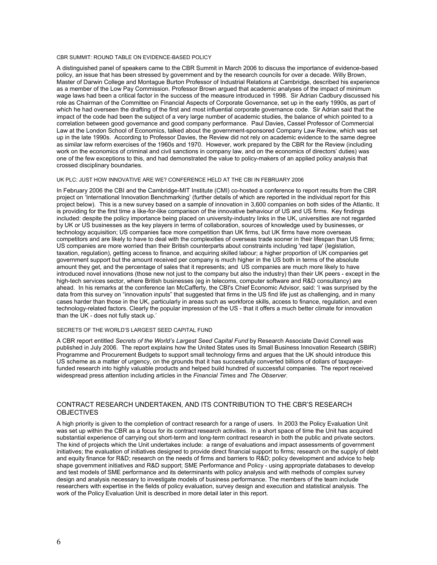### CBR SUMMIT: ROUND TABLE ON EVIDENCE-BASED POLICY

A distinguished panel of speakers came to the CBR Summit in March 2006 to discuss the importance of evidence-based policy, an issue that has been stressed by government and by the research councils for over a decade. Willy Brown, Master of Darwin College and Montague Burton Professor of Industrial Relations at Cambridge, described his experience as a member of the Low Pay Commission. Professor Brown argued that academic analyses of the impact of minimum wage laws had been a critical factor in the success of the measure introduced in 1998. Sir Adrian Cadbury discussed his role as Chairman of the Committee on Financial Aspects of Corporate Governance, set up in the early 1990s, as part of which he had overseen the drafting of the first and most influential corporate governance code. Sir Adrian said that the impact of the code had been the subject of a very large number of academic studies, the balance of which pointed to a correlation between good governance and good company performance. Paul Davies, Cassel Professor of Commercial Law at the London School of Economics, talked about the government-sponsored Company Law Review, which was set up in the late 1990s. According to Professor Davies, the Review did not rely on academic evidence to the same degree as similar law reform exercises of the 1960s and 1970. However, work prepared by the CBR for the Review (including work on the economics of criminal and civil sanctions in company law, and on the economics of directors' duties) was one of the few exceptions to this, and had demonstrated the value to policy-makers of an applied policy analysis that crossed disciplinary boundaries.

### UK PLC: JUST HOW INNOVATIVE ARE WE? CONFERENCE HELD AT THE CBI IN FEBRUARY 2006

In February 2006 the CBI and the Cambridge-MIT Institute (CMI) co-hosted a conference to report results from the CBR project on 'International Innovation Benchmarking' (further details of which are reported in the individual report for this project below). This is a new survey based on a sample of innovation in 3,600 companies on both sides of the Atlantic. It is providing for the first time a like-for-like comparison of the innovative behaviour of US and US firms. Key findings included: despite the policy importance being placed on university-industry links in the UK, universities are not regarded by UK or US businesses as the key players in terms of collaboration, sources of knowledge used by businesses, or technology acquisition; US companies face more competition than UK firms, but UK firms have more overseas competitors and are likely to have to deal with the complexities of overseas trade sooner in their lifespan than US firms; US companies are more worried than their British counterparts about constraints including 'red tape' (legislation, taxation, regulation), getting access to finance, and acquiring skilled labour; a higher proportion of UK companies get government support but the amount received per company is much higher in the US both in terms of the absolute amount they get, and the percentage of sales that it represents; and US companies are much more likely to have introduced novel innovations (those new not just to the company but also the industry) than their UK peers - except in the high-tech services sector, where British businesses (eg in telecoms, computer software and R&D consultancy) are ahead. In his remarks at the conference Ian McCafferty, the CBI's Chief Economic Advisor, said: 'I was surprised by the data from this survey on "innovation inputs" that suggested that firms in the US find life just as challenging, and in many cases harder than those in the UK, particularly in areas such as workforce skills, access to finance, regulation, and even technology-related factors. Clearly the popular impression of the US - that it offers a much better climate for innovation than the UK - does not fully stack up.'

#### SECRETS OF THE WORLD'S LARGEST SEED CAPITAL FUND

A CBR report entitled Secrets of the World's Largest Seed Capital Fund by Research Associate David Connell was published in July 2006. The report explains how the United States uses its Small Business Innovation Research (SBIR) Programme and Procurement Budgets to support small technology firms and argues that the UK should introduce this US scheme as a matter of urgency, on the grounds that it has successfully converted billions of dollars of taxpayerfunded research into highly valuable products and helped build hundred of successful companies. The report received widespread press attention including articles in the Financial Times and The Observer.

### CONTRACT RESEARCH UNDERTAKEN, AND ITS CONTRIBUTION TO THE CBR'S RESEARCH **OBJECTIVES**

A high priority is given to the completion of contract research for a range of users. In 2003 the Policy Evaluation Unit was set up within the CBR as a focus for its contract research activities. In a short space of time the Unit has acquired substantial experience of carrying out short-term and long-term contract research in both the public and private sectors. The kind of projects which the Unit undertakes include: a range of evaluations and impact assessments of government initiatives; the evaluation of initiatives designed to provide direct financial support to firms; research on the supply of debt and equity finance for R&D; research on the needs of firms and barriers to R&D; policy development and advice to help shape government initiatives and R&D support; SME Performance and Policy - using appropriate databases to develop and test models of SME performance and its determinants with policy analysis and with methods of complex survey design and analysis necessary to investigate models of business performance. The members of the team include researchers with expertise in the fields of policy evaluation, survey design and execution and statistical analysis. The work of the Policy Evaluation Unit is described in more detail later in this report.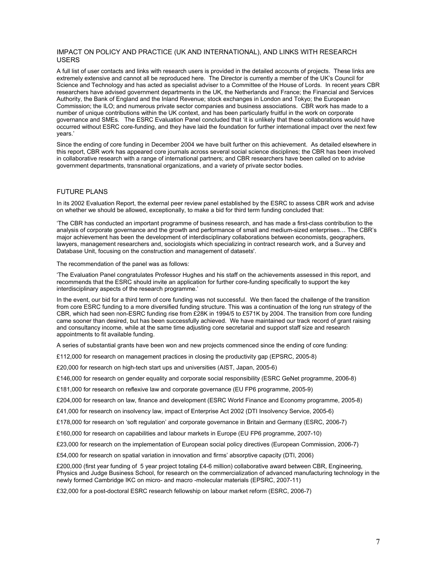### IMPACT ON POLICY AND PRACTICE (UK AND INTERNATIONAL), AND LINKS WITH RESEARCH USERS

A full list of user contacts and links with research users is provided in the detailed accounts of projects. These links are extremely extensive and cannot all be reproduced here. The Director is currently a member of the UK's Council for Science and Technology and has acted as specialist adviser to a Committee of the House of Lords. In recent years CBR researchers have advised government departments in the UK, the Netherlands and France; the Financial and Services Authority, the Bank of England and the Inland Revenue; stock exchanges in London and Tokyo; the European Commission; the ILO; and numerous private sector companies and business associations. CBR work has made to a number of unique contributions within the UK context, and has been particularly fruitful in the work on corporate governance and SMEs. The ESRC Evaluation Panel concluded that 'it is unlikely that these collaborations would have occurred without ESRC core-funding, and they have laid the foundation for further international impact over the next few years.'

Since the ending of core funding in December 2004 we have built further on this achievement. As detailed elsewhere in this report, CBR work has appeared core journals across several social science disciplines; the CBR has been involved in collaborative research with a range of international partners; and CBR researchers have been called on to advise government departments, transnational organizations, and a variety of private sector bodies.

### FUTURE PLANS

In its 2002 Evaluation Report, the external peer review panel established by the ESRC to assess CBR work and advise on whether we should be allowed, exceptionally, to make a bid for third term funding concluded that:

'The CBR has conducted an important programme of business research, and has made a first-class contribution to the analysis of corporate governance and the growth and performance of small and medium-sized enterprises… The CBR's major achievement has been the development of interdisciplinary collaborations between economists, geographers, lawyers, management researchers and, sociologists which specializing in contract research work, and a Survey and Database Unit, focusing on the construction and management of datasets'.

The recommendation of the panel was as follows:

'The Evaluation Panel congratulates Professor Hughes and his staff on the achievements assessed in this report, and recommends that the ESRC should invite an application for further core-funding specifically to support the key interdisciplinary aspects of the research programme.'

In the event, our bid for a third term of core funding was not successful. We then faced the challenge of the transition from core ESRC funding to a more diversified funding structure. This was a continuation of the long run strategy of the CBR, which had seen non-ESRC funding rise from £28K in 1994/5 to £571K by 2004. The transition from core funding came sooner than desired, but has been successfully achieved. We have maintained our track record of grant raising and consultancy income, while at the same time adjusting core secretarial and support staff size and research appointments to fit available funding.

A series of substantial grants have been won and new projects commenced since the ending of core funding:

£112,000 for research on management practices in closing the productivity gap (EPSRC, 2005-8)

£20,000 for research on high-tech start ups and universities (AIST, Japan, 2005-6)

£146,000 for research on gender equality and corporate social responsibility (ESRC GeNet programme, 2006-8)

£181,000 for research on reflexive law and corporate governance (EU FP6 programme, 2005-9)

£204,000 for research on law, finance and development (ESRC World Finance and Economy programme, 2005-8)

£41,000 for research on insolvency law, impact of Enterprise Act 2002 (DTI Insolvency Service, 2005-6)

£178,000 for research on 'soft regulation' and corporate governance in Britain and Germany (ESRC, 2006-7)

£160,000 for research on capabilities and labour markets in Europe (EU FP6 programme, 2007-10)

£23,000 for research on the implementation of European social policy directives (European Commission, 2006-7)

£54,000 for research on spatial variation in innovation and firms' absorptive capacity (DTI, 2006)

£200,000 (first year funding of 5 year project totaling £4-6 million) collaborative award between CBR, Engineering, Physics and Judge Business School, for research on the commercialization of advanced manufacturing technology in the newly formed Cambridge IKC on micro- and macro -molecular materials (EPSRC, 2007-11)

£32,000 for a post-doctoral ESRC research fellowship on labour market reform (ESRC, 2006-7)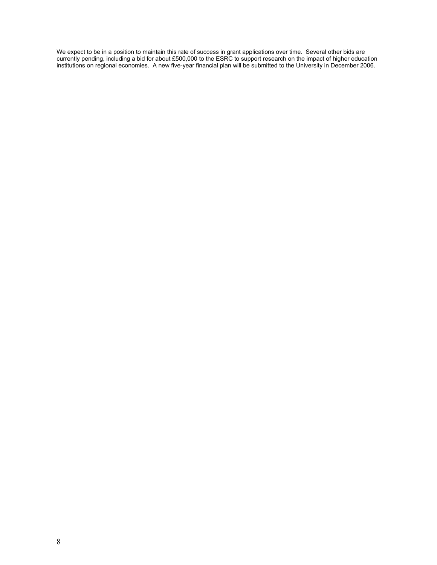We expect to be in a position to maintain this rate of success in grant applications over time. Several other bids are currently pending, including a bid for about £500,000 to the ESRC to support research on the impact of higher education institutions on regional economies. A new five-year financial plan will be submitted to the University in December 2006.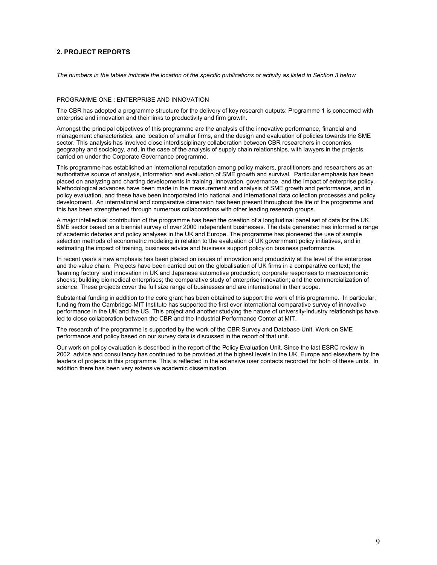### 2. PROJECT REPORTS

The numbers in the tables indicate the location of the specific publications or activity as listed in Section 3 below

#### PROGRAMME ONE : ENTERPRISE AND INNOVATION

The CBR has adopted a programme structure for the delivery of key research outputs: Programme 1 is concerned with enterprise and innovation and their links to productivity and firm growth.

Amongst the principal objectives of this programme are the analysis of the innovative performance, financial and management characteristics, and location of smaller firms, and the design and evaluation of policies towards the SME sector. This analysis has involved close interdisciplinary collaboration between CBR researchers in economics, geography and sociology, and, in the case of the analysis of supply chain relationships, with lawyers in the projects carried on under the Corporate Governance programme.

This programme has established an international reputation among policy makers, practitioners and researchers as an authoritative source of analysis, information and evaluation of SME growth and survival. Particular emphasis has been placed on analyzing and charting developments in training, innovation, governance, and the impact of enterprise policy. Methodological advances have been made in the measurement and analysis of SME growth and performance, and in policy evaluation, and these have been incorporated into national and international data collection processes and policy development. An international and comparative dimension has been present throughout the life of the programme and this has been strengthened through numerous collaborations with other leading research groups.

A major intellectual contribution of the programme has been the creation of a longitudinal panel set of data for the UK SME sector based on a biennial survey of over 2000 independent businesses. The data generated has informed a range of academic debates and policy analyses in the UK and Europe. The programme has pioneered the use of sample selection methods of econometric modeling in relation to the evaluation of UK government policy initiatives, and in estimating the impact of training, business advice and business support policy on business performance.

In recent years a new emphasis has been placed on issues of innovation and productivity at the level of the enterprise and the value chain. Projects have been carried out on the globalisation of UK firms in a comparative context; the 'learning factory' and innovation in UK and Japanese automotive production; corporate responses to macroeconomic shocks; building biomedical enterprises; the comparative study of enterprise innovation; and the commercialization of science. These projects cover the full size range of businesses and are international in their scope.

Substantial funding in addition to the core grant has been obtained to support the work of this programme. In particular, funding from the Cambridge-MIT Institute has supported the first ever international comparative survey of innovative performance in the UK and the US. This project and another studying the nature of university-industry relationships have led to close collaboration between the CBR and the Industrial Performance Center at MIT.

The research of the programme is supported by the work of the CBR Survey and Database Unit. Work on SME performance and policy based on our survey data is discussed in the report of that unit.

Our work on policy evaluation is described in the report of the Policy Evaluation Unit. Since the last ESRC review in 2002, advice and consultancy has continued to be provided at the highest levels in the UK, Europe and elsewhere by the leaders of projects in this programme. This is reflected in the extensive user contacts recorded for both of these units. In addition there has been very extensive academic dissemination.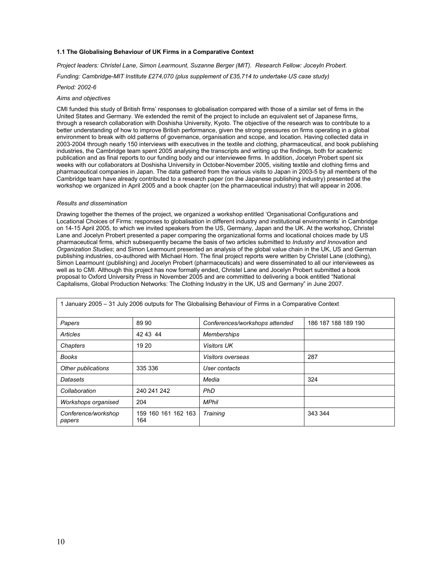#### 1.1 The Globalising Behaviour of UK Firms in a Comparative Context

Project leaders: Christel Lane, Simon Learmount, Suzanne Berger (MIT). Research Fellow: Joceyln Probert.

Funding: Cambridge-MIT Institute £274,070 (plus supplement of £35,714 to undertake US case study)

Period: 2002-6

#### Aims and objectives

CMI funded this study of British firms' responses to globalisation compared with those of a similar set of firms in the United States and Germany. We extended the remit of the project to include an equivalent set of Japanese firms, through a research collaboration with Doshisha University, Kyoto. The objective of the research was to contribute to a better understanding of how to improve British performance, given the strong pressures on firms operating in a global environment to break with old patterns of governance, organisation and scope, and location. Having collected data in 2003-2004 through nearly 150 interviews with executives in the textile and clothing, pharmaceutical, and book publishing industries, the Cambridge team spent 2005 analysing the transcripts and writing up the findings, both for academic publication and as final reports to our funding body and our interviewee firms. In addition, Jocelyn Probert spent six weeks with our collaborators at Doshisha University in October-November 2005, visiting textile and clothing firms and pharmaceutical companies in Japan. The data gathered from the various visits to Japan in 2003-5 by all members of the Cambridge team have already contributed to a research paper (on the Japanese publishing industry) presented at the workshop we organized in April 2005 and a book chapter (on the pharmaceutical industry) that will appear in 2006.

#### Results and dissemination

Drawing together the themes of the project, we organized a workshop entitled 'Organisational Configurations and Locational Choices of Firms: responses to globalisation in different industry and institutional environments' in Cambridge on 14-15 April 2005, to which we invited speakers from the US, Germany, Japan and the UK. At the workshop, Christel Lane and Jocelyn Probert presented a paper comparing the organizational forms and locational choices made by US pharmaceutical firms, which subsequently became the basis of two articles submitted to Industry and Innovation and Organization Studies; and Simon Learmount presented an analysis of the global value chain in the UK, US and German publishing industries, co-authored with Michael Horn. The final project reports were written by Christel Lane (clothing), Simon Learmount (publishing) and Jocelyn Probert (pharmaceuticals) and were disseminated to all our interviewees as well as to CMI. Although this project has now formally ended, Christel Lane and Jocelyn Probert submitted a book proposal to Oxford University Press in November 2005 and are committed to delivering a book entitled "National Capitalisms, Global Production Networks: The Clothing Industry in the UK, US and Germany" in June 2007.

| 1 January 2005 - 31 July 2006 outputs for The Globalising Behaviour of Firms in a Comparative Context |                            |                                |                     |
|-------------------------------------------------------------------------------------------------------|----------------------------|--------------------------------|---------------------|
| Papers                                                                                                | 89 90                      | Conferences/workshops attended | 186 187 188 189 190 |
| Articles                                                                                              | 42 43 44                   | <b>Memberships</b>             |                     |
| Chapters                                                                                              | 19 20                      | <b>Visitors UK</b>             |                     |
| <b>Books</b>                                                                                          |                            | Visitors overseas              | 287                 |
| Other publications                                                                                    | 335 336                    | User contacts                  |                     |
| Datasets                                                                                              |                            | Media                          | 324                 |
| Collaboration                                                                                         | 240 241 242                | <b>PhD</b>                     |                     |
| Workshops organised                                                                                   | 204                        | <b>MPhil</b>                   |                     |
| Conference/workshop<br>papers                                                                         | 159 160 161 162 163<br>164 | Training                       | 343 344             |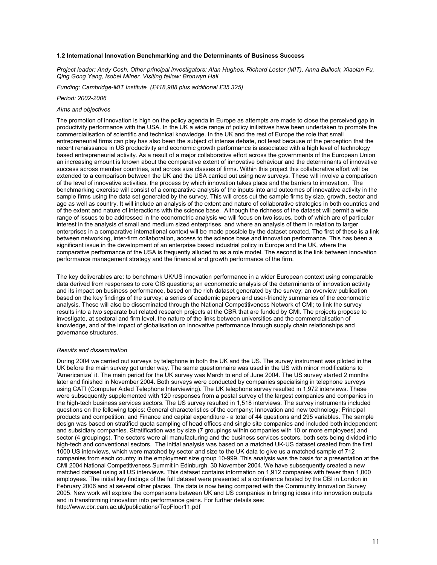#### 1.2 International Innovation Benchmarking and the Determinants of Business Success

Project leader: Andy Cosh. Other principal investigators: Alan Hughes, Richard Lester (MIT), Anna Bullock, Xiaolan Fu, Qing Gong Yang, Isobel Milner. Visiting fellow: Bronwyn Hall

Funding: Cambridge-MIT Institute (£418,988 plus additional £35,325)

#### Period: 2002-2006

### Aims and objectives

The promotion of innovation is high on the policy agenda in Europe as attempts are made to close the perceived gap in productivity performance with the USA. In the UK a wide range of policy initiatives have been undertaken to promote the commercialisation of scientific and technical knowledge. In the UK and the rest of Europe the role that small entrepreneurial firms can play has also been the subject of intense debate, not least because of the perception that the recent renaissance in US productivity and economic growth performance is associated with a high level of technology based entrepreneurial activity. As a result of a major collaborative effort across the governments of the European Union an increasing amount is known about the comparative extent of innovative behaviour and the determinants of innovative success across member countries, and across size classes of firms. Within this project this collaborative effort will be extended to a comparison between the UK and the USA carried out using new surveys. These will involve a comparison of the level of innovative activities, the process by which innovation takes place and the barriers to innovation. The benchmarking exercise will consist of a comparative analysis of the inputs into and outcomes of innovative activity in the sample firms using the data set generated by the survey. This will cross cut the sample firms by size, growth, sector and age as well as country. It will include an analysis of the extent and nature of collaborative strategies in both countries and of the extent and nature of interactions with the science base. Although the richness of the dataset will permit a wide range of issues to be addressed in the econometric analysis we will focus on two issues, both of which are of particular interest in the analysis of small and medium sized enterprises, and where an analysis of them in relation to larger enterprises in a comparative international context will be made possible by the dataset created. The first of these is a link between networking, inter-firm collaboration, access to the science base and innovation performance. This has been a significant issue in the development of an enterprise based industrial policy in Europe and the UK, where the comparative performance of the USA is frequently alluded to as a role model. The second is the link between innovation performance management strategy and the financial and growth performance of the firm.

The key deliverables are: to benchmark UK/US innovation performance in a wider European context using comparable data derived from responses to core CIS questions; an econometric analysis of the determinants of innovation activity and its impact on business performance, based on the rich dataset generated by the survey; an overview publication based on the key findings of the survey; a series of academic papers and user-friendly summaries of the econometric analysis. These will also be disseminated through the National Competitiveness Network of CMI; to link the survey results into a two separate but related research projects at the CBR that are funded by CMI. The projects propose to investigate, at sectoral and firm level, the nature of the links between universities and the commercialisation of knowledge, and of the impact of globalisation on innovative performance through supply chain relationships and governance structures.

#### Results and dissemination

During 2004 we carried out surveys by telephone in both the UK and the US. The survey instrument was piloted in the UK before the main survey got under way. The same questionnaire was used in the US with minor modifications to 'Americanize' it. The main period for the UK survey was March to end of June 2004. The US survey started 2 months later and finished in November 2004. Both surveys were conducted by companies specialising in telephone surveys using CATI (Computer Aided Telephone Interviewing). The UK telephone survey resulted in 1,972 interviews. These were subsequently supplemented with 120 responses from a postal survey of the largest companies and companies in the high-tech business services sectors. The US survey resulted in 1,518 interviews. The survey instruments included questions on the following topics: General characteristics of the company; Innovation and new technology; Principal products and competition; and Finance and capital expenditure - a total of 44 questions and 295 variables. The sample design was based on stratified quota sampling of head offices and single site companies and included both independent and subsidiary companies. Stratification was by size (7 groupings within companies with 10 or more employees) and sector (4 groupings). The sectors were all manufacturing and the business services sectors, both sets being divided into high-tech and conventional sectors. The initial analysis was based on a matched UK-US dataset created from the first 1000 US interviews, which were matched by sector and size to the UK data to give us a matched sample of 712 companies from each country in the employment size group 10-999. This analysis was the basis for a presentation at the CMI 2004 National Competitiveness Summit in Edinburgh, 30 November 2004. We have subsequently created a new matched dataset using all US interviews. This dataset contains information on 1,912 companies with fewer than 1,000 employees. The initial key findings of the full dataset were presented at a conference hosted by the CBI in London in February 2006 and at several other places. The data is now being compared with the Community Innovation Survey 2005. New work will explore the comparisons between UK and US companies in bringing ideas into innovation outputs and in transforming innovation into performance gains. For further details see: http://www.cbr.cam.ac.uk/publications/TopFloor11.pdf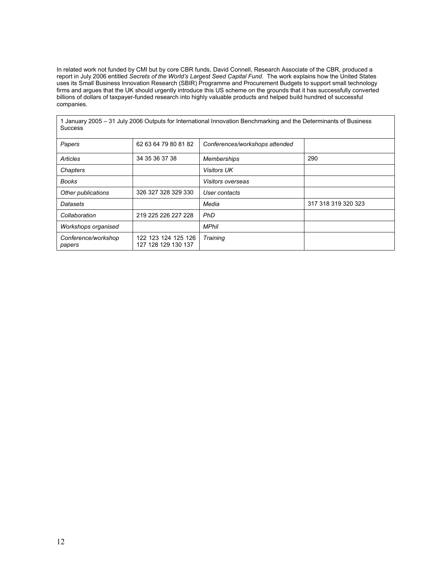In related work not funded by CMI but by core CBR funds, David Connell, Research Associate of the CBR, produced a report in July 2006 entitled Secrets of the World's Largest Seed Capital Fund. The work explains how the United States uses its Small Business Innovation Research (SBIR) Programme and Procurement Budgets to support small technology firms and argues that the UK should urgently introduce this US scheme on the grounds that it has successfully converted billions of dollars of taxpayer-funded research into highly valuable products and helped build hundred of successful companies.

| <b>Success</b>                |                                            | 1 January 2005 – 31 July 2006 Outputs for International Innovation Benchmarking and the Determinants of Business |                     |
|-------------------------------|--------------------------------------------|------------------------------------------------------------------------------------------------------------------|---------------------|
| Papers                        | 62 63 64 79 80 81 82                       | Conferences/workshops attended                                                                                   |                     |
| Articles                      | 34 35 36 37 38                             | <b>Memberships</b>                                                                                               | 290                 |
| Chapters                      |                                            | <b>Visitors UK</b>                                                                                               |                     |
| Books                         |                                            | Visitors overseas                                                                                                |                     |
| Other publications            | 326 327 328 329 330                        | User contacts                                                                                                    |                     |
| Datasets                      |                                            | Media                                                                                                            | 317 318 319 320 323 |
| Collaboration                 | 219 225 226 227 228                        | PhD                                                                                                              |                     |
| Workshops organised           |                                            | <b>MPhil</b>                                                                                                     |                     |
| Conference/workshop<br>papers | 122 123 124 125 126<br>127 128 129 130 137 | Training                                                                                                         |                     |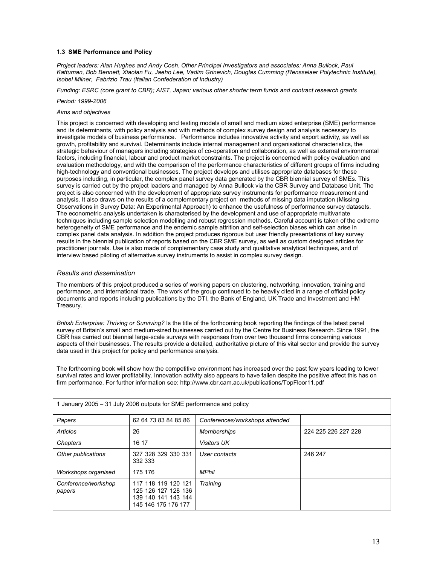#### 1.3 SME Performance and Policy

Project leaders: Alan Hughes and Andy Cosh. Other Principal Investigators and associates: Anna Bullock, Paul Kattuman, Bob Bennett, Xiaolan Fu, Jaeho Lee, Vadim Grinevich, Douglas Cumming (Rensselaer Polytechnic Institute), Isobel Milner, Fabrizio Trau (Italian Confederation of Industry)

Funding: ESRC (core grant to CBR); AIST, Japan; various other shorter term funds and contract research grants

#### Period: 1999-2006

#### Aims and objectives

This project is concerned with developing and testing models of small and medium sized enterprise (SME) performance and its determinants, with policy analysis and with methods of complex survey design and analysis necessary to investigate models of business performance. Performance includes innovative activity and export activity, as well as growth, profitability and survival. Determinants include internal management and organisational characteristics, the strategic behaviour of managers including strategies of co-operation and collaboration, as well as external environmental factors, including financial, labour and product market constraints. The project is concerned with policy evaluation and evaluation methodology, and with the comparison of the performance characteristics of different groups of firms including high-technology and conventional businesses. The project develops and utilises appropriate databases for these purposes including, in particular, the complex panel survey data generated by the CBR biennial survey of SMEs. This survey is carried out by the project leaders and managed by Anna Bullock via the CBR Survey and Database Unit. The project is also concerned with the development of appropriate survey instruments for performance measurement and analysis. It also draws on the results of a complementary project on methods of missing data imputation (Missing Observations in Survey Data: An Experimental Approach) to enhance the usefulness of performance survey datasets. The econometric analysis undertaken is characterised by the development and use of appropriate multivariate techniques including sample selection modelling and robust regression methods. Careful account is taken of the extreme heterogeneity of SME performance and the endemic sample attrition and self-selection biases which can arise in complex panel data analysis. In addition the project produces rigorous but user friendly presentations of key survey results in the biennial publication of reports based on the CBR SME survey, as well as custom designed articles for practitioner journals. Use is also made of complementary case study and qualitative analytical techniques, and of interview based piloting of alternative survey instruments to assist in complex survey design.

### Results and dissemination

The members of this project produced a series of working papers on clustering, networking, innovation, training and performance, and international trade. The work of the group continued to be heavily cited in a range of official policy documents and reports including publications by the DTI, the Bank of England, UK Trade and Investment and HM Treasury.

British Enterprise: Thriving or Surviving? Is the title of the forthcoming book reporting the findings of the latest panel survey of Britain's small and medium-sized businesses carried out by the Centre for Business Research. Since 1991, the CBR has carried out biennial large-scale surveys with responses from over two thousand firms concerning various aspects of their businesses. The results provide a detailed, authoritative picture of this vital sector and provide the survey data used in this project for policy and performance analysis.

The forthcoming book will show how the competitive environment has increased over the past few years leading to lower survival rates and lower profitability. Innovation activity also appears to have fallen despite the positive affect this has on firm performance. For further information see: http://www.cbr.cam.ac.uk/publications/TopFloor11.pdf

| 1 January 2005 – 31 July 2006 outputs for SME performance and policy |                                                                                          |                                |                     |
|----------------------------------------------------------------------|------------------------------------------------------------------------------------------|--------------------------------|---------------------|
| Papers                                                               | 62 64 73 83 84 85 86                                                                     | Conferences/workshops attended |                     |
| Articles                                                             | 26                                                                                       | <b>Memberships</b>             | 224 225 226 227 228 |
| Chapters                                                             | 16 17                                                                                    | <b>Visitors UK</b>             |                     |
| Other publications                                                   | 327 328 329 330 331<br>332 333                                                           | User contacts                  | 246 247             |
| Workshops organised                                                  | 175 176                                                                                  | <b>MPhil</b>                   |                     |
| Conference/workshop<br>papers                                        | 117 118 119 120 121<br>125 126 127 128 136<br>139 140 141 143 144<br>145 146 175 176 177 | Training                       |                     |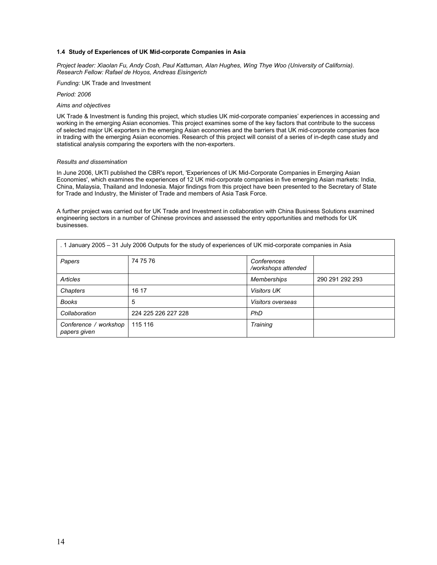#### 1.4 Study of Experiences of UK Mid-corporate Companies in Asia

Project leader: Xiaolan Fu, Andy Cosh, Paul Kattuman, Alan Hughes, Wing Thye Woo (University of California). Research Fellow: Rafael de Hoyos, Andreas Eisingerich

Funding: UK Trade and Investment

Period: 2006

#### Aims and objectives

UK Trade & Investment is funding this project, which studies UK mid-corporate companies' experiences in accessing and working in the emerging Asian economies. This project examines some of the key factors that contribute to the success of selected major UK exporters in the emerging Asian economies and the barriers that UK mid-corporate companies face in trading with the emerging Asian economies. Research of this project will consist of a series of in-depth case study and statistical analysis comparing the exporters with the non-exporters.

#### Results and dissemination

In June 2006, UKTI published the CBR's report, 'Experiences of UK Mid-Corporate Companies in Emerging Asian Economies', which examines the experiences of 12 UK mid-corporate companies in five emerging Asian markets: India, China, Malaysia, Thailand and Indonesia. Major findings from this project have been presented to the Secretary of State for Trade and Industry, the Minister of Trade and members of Asia Task Force.

A further project was carried out for UK Trade and Investment in collaboration with China Business Solutions examined engineering sectors in a number of Chinese provinces and assessed the entry opportunities and methods for UK businesses.

| . 1 January 2005 – 31 July 2006 Outputs for the study of experiences of UK mid-corporate companies in Asia |                     |                                    |                 |
|------------------------------------------------------------------------------------------------------------|---------------------|------------------------------------|-----------------|
| Papers                                                                                                     | 74 75 76            | Conferences<br>/workshops attended |                 |
| Articles                                                                                                   |                     | <b>Memberships</b>                 | 290 291 292 293 |
| Chapters                                                                                                   | 16 17               | <b>Visitors UK</b>                 |                 |
| <b>Books</b>                                                                                               | 5                   | Visitors overseas                  |                 |
| Collaboration                                                                                              | 224 225 226 227 228 | <b>PhD</b>                         |                 |
| Conference / workshop<br>papers given                                                                      | 115 116             | <b>Training</b>                    |                 |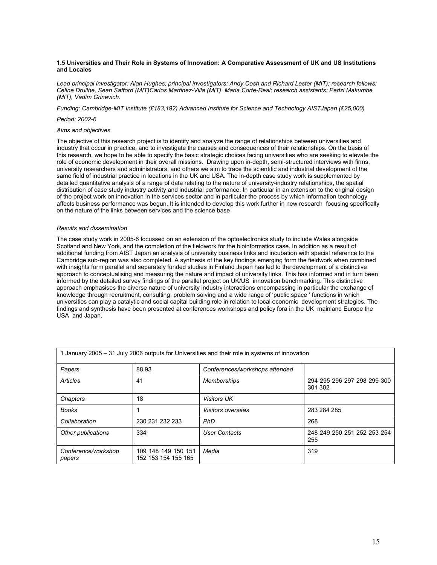#### 1.5 Universities and Their Role in Systems of Innovation: A Comparative Assessment of UK and US Institutions and Locales

Lead principal investigator: Alan Hughes; principal investigators: Andy Cosh and Richard Lester (MIT); research fellows: Celine Druilhe, Sean Safford (MIT)Carlos Martinez-Villa (MIT) Maria Corte-Real; research assistants: Pedzi Makumbe (MIT), Vadim Grinevich.

Funding: Cambridge-MIT Institute (£183,192) Advanced Institute for Science and Technology AISTJapan (₤25,000)

#### Period: 2002-6

#### Aims and objectives

The objective of this research project is to identify and analyze the range of relationships between universities and industry that occur in practice, and to investigate the causes and consequences of their relationships. On the basis of this research, we hope to be able to specify the basic strategic choices facing universities who are seeking to elevate the role of economic development in their overall missions. Drawing upon in-depth, semi-structured interviews with firms, university researchers and administrators, and others we aim to trace the scientific and industrial development of the same field of industrial practice in locations in the UK and USA. The in-depth case study work is supplemented by detailed quantitative analysis of a range of data relating to the nature of university-industry relationships, the spatial distribution of case study industry activity and industrial performance. In particular in an extension to the original design of the project work on innovation in the services sector and in particular the process by which information technology affects business performance was begun. It is intended to develop this work further in new research focusing specifically on the nature of the links between services and the science base

#### Results and dissemination

The case study work in 2005-6 focussed on an extension of the optoelectronics study to include Wales alongside Scotland and New York, and the completion of the fieldwork for the bioinformatics case. In addition as a result of additional funding from AIST Japan an analysis of university business links and incubation with special reference to the Cambridge sub-region was also completed. A synthesis of the key findings emerging form the fieldwork when combined with insights form parallel and separately funded studies in Finland Japan has led to the development of a distinctive approach to conceptualising and measuring the nature and impact of university links. This has informed and in turn been informed by the detailed survey findings of the parallel project on UK/US innovation benchmarking. This distinctive approach emphasises the diverse nature of university industry interactions encompassing in particular the exchange of knowledge through recruitment, consulting, problem solving and a wide range of 'public space ' functions in which universities can play a catalytic and social capital building role in relation to local economic development strategies. The findings and synthesis have been presented at conferences workshops and policy fora in the UK mainland Europe the USA and Japan.

|                               |                                            | 1 January 2005 – 31 July 2006 outputs for Universities and their role in systems of innovation |                                        |
|-------------------------------|--------------------------------------------|------------------------------------------------------------------------------------------------|----------------------------------------|
| Papers                        | 8893                                       | Conferences/workshops attended                                                                 |                                        |
| Articles                      | 41                                         | <b>Memberships</b>                                                                             | 294 295 296 297 298 299 300<br>301 302 |
| Chapters                      | 18                                         | <b>Visitors UK</b>                                                                             |                                        |
| <b>Books</b>                  |                                            | <i>Visitors overseas</i>                                                                       | 283 284 285                            |
| Collaboration                 | 230 231 232 233                            | <b>PhD</b>                                                                                     | 268                                    |
| Other publications            | 334                                        | <b>User Contacts</b>                                                                           | 248 249 250 251 252 253 254<br>255     |
| Conference/workshop<br>papers | 109 148 149 150 151<br>152 153 154 155 165 | Media                                                                                          | 319                                    |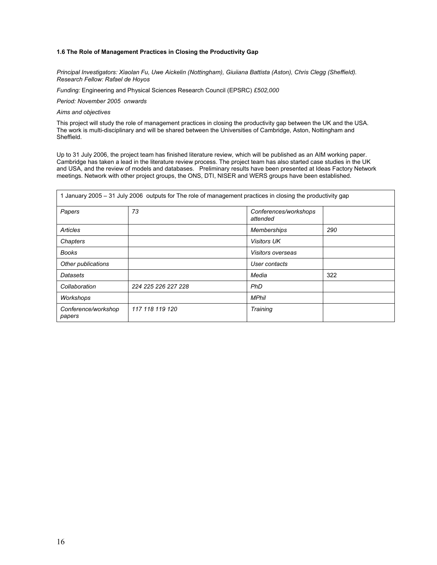### 1.6 The Role of Management Practices in Closing the Productivity Gap

Principal Investigators: Xiaolan Fu, Uwe Aickelin (Nottingham), Giuiiana Battista (Aston), Chris Clegg (Sheffield). Research Fellow: Rafael de Hoyos

Funding: Engineering and Physical Sciences Research Council (EPSRC) £502,000

Period: November 2005 onwards

#### Aims and objectives

This project will study the role of management practices in closing the productivity gap between the UK and the USA. The work is multi-disciplinary and will be shared between the Universities of Cambridge, Aston, Nottingham and Sheffield.

Up to 31 July 2006, the project team has finished literature review, which will be published as an AIM working paper. Cambridge has taken a lead in the literature review process. The project team has also started case studies in the UK and USA, and the review of models and databases. Preliminary results have been presented at Ideas Factory Network meetings. Network with other project groups, the ONS, DTI, NISER and WERS groups have been established.

|                               | 1 January 2005 – 31 July 2006 outputs for The role of management practices in closing the productivity gap |                                   |     |
|-------------------------------|------------------------------------------------------------------------------------------------------------|-----------------------------------|-----|
| Papers                        | 73                                                                                                         | Conferences/workshops<br>attended |     |
| Articles                      |                                                                                                            | <b>Memberships</b>                | 290 |
| Chapters                      |                                                                                                            | <b>Visitors UK</b>                |     |
| Books                         |                                                                                                            | Visitors overseas                 |     |
| Other publications            |                                                                                                            | User contacts                     |     |
| Datasets                      |                                                                                                            | Media                             | 322 |
| Collaboration                 | 224 225 226 227 228                                                                                        | PhD                               |     |
| Workshops                     |                                                                                                            | <b>MPhil</b>                      |     |
| Conference/workshop<br>papers | 117 118 119 120                                                                                            | Training                          |     |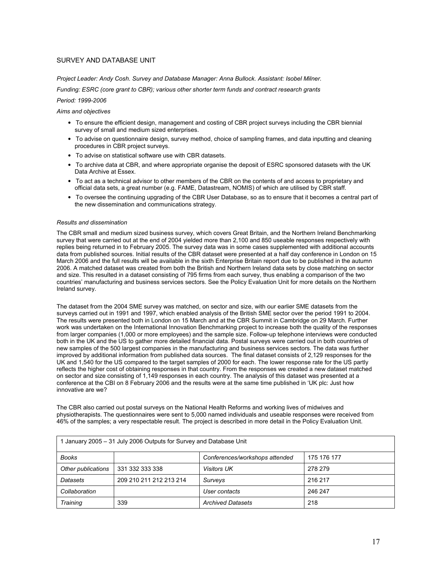### SURVEY AND DATABASE UNIT

Project Leader: Andy Cosh. Survey and Database Manager: Anna Bullock. Assistant: Isobel Milner.

Funding: ESRC (core grant to CBR); various other shorter term funds and contract research grants

### Period: 1999-2006

### Aims and objectives

- To ensure the efficient design, management and costing of CBR project surveys including the CBR biennial survey of small and medium sized enterprises.
- To advise on questionnaire design, survey method, choice of sampling frames, and data inputting and cleaning procedures in CBR project surveys.
- To advise on statistical software use with CBR datasets.
- To archive data at CBR, and where appropriate organise the deposit of ESRC sponsored datasets with the UK Data Archive at Essex.
- To act as a technical advisor to other members of the CBR on the contents of and access to proprietary and official data sets, a great number (e.g. FAME, Datastream, NOMIS) of which are utilised by CBR staff.
- To oversee the continuing upgrading of the CBR User Database, so as to ensure that it becomes a central part of the new dissemination and communications strategy.

### Results and dissemination

The CBR small and medium sized business survey, which covers Great Britain, and the Northern Ireland Benchmarking survey that were carried out at the end of 2004 yielded more than 2,100 and 850 useable responses respectively with replies being returned in to February 2005. The survey data was in some cases supplemented with additional accounts data from published sources. Initial results of the CBR dataset were presented at a half day conference in London on 15 March 2006 and the full results will be available in the sixth Enterprise Britain report due to be published in the autumn 2006. A matched dataset was created from both the British and Northern Ireland data sets by close matching on sector and size. This resulted in a dataset consisting of 795 firms from each survey, thus enabling a comparison of the two countries' manufacturing and business services sectors. See the Policy Evaluation Unit for more details on the Northern Ireland survey.

The dataset from the 2004 SME survey was matched, on sector and size, with our earlier SME datasets from the surveys carried out in 1991 and 1997, which enabled analysis of the British SME sector over the period 1991 to 2004. The results were presented both in London on 15 March and at the CBR Summit in Cambridge on 29 March. Further work was undertaken on the International Innovation Benchmarking project to increase both the quality of the responses from larger companies (1,000 or more employees) and the sample size. Follow-up telephone interviews were conducted both in the UK and the US to gather more detailed financial data. Postal surveys were carried out in both countries of new samples of the 500 largest companies in the manufacturing and business services sectors. The data was further improved by additional information from published data sources. The final dataset consists of 2,129 responses for the UK and 1,540 for the US compared to the target samples of 2000 for each. The lower response rate for the US partly reflects the higher cost of obtaining responses in that country. From the responses we created a new dataset matched on sector and size consisting of 1,149 responses in each country. The analysis of this dataset was presented at a conference at the CBI on 8 February 2006 and the results were at the same time published in 'UK plc: Just how innovative are we?

The CBR also carried out postal surveys on the National Health Reforms and working lives of midwives and physiotherapists. The questionnaires were sent to 5,000 named individuals and useable responses were received from 46% of the samples; a very respectable result. The project is described in more detail in the Policy Evaluation Unit.

| 1 January 2005 – 31 July 2006 Outputs for Survey and Database Unit |                         |                                |             |
|--------------------------------------------------------------------|-------------------------|--------------------------------|-------------|
| <b>Books</b>                                                       |                         | Conferences/workshops attended | 175 176 177 |
| Other publications                                                 | 331 332 333 338         | <b>Visitors UK</b>             | 278 279     |
| Datasets                                                           | 209 210 211 212 213 214 | Surveys                        | 216 217     |
| Collaboration                                                      |                         | User contacts                  | 246 247     |
| <b>Training</b>                                                    | 339                     | <b>Archived Datasets</b>       | 218         |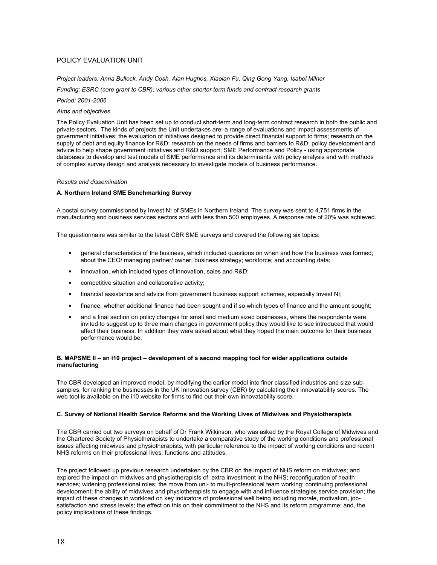### POLICY EVALUATION UNIT

Project leaders: Anna Bullock, Andy Cosh, Alan Hughes, Xiaolan Fu, Qing Gong Yang, Isabel Milner

Funding: ESRC (core grant to CBR); various other shorter term funds and contract research grants

#### Period: 2001-2006

#### Aims and objectives

The Policy Evaluation Unit has been set up to conduct short-term and long-term contract research in both the public and private sectors. The kinds of projects the Unit undertakes are: a range of evaluations and impact assessments of government initiatives; the evaluation of initiatives designed to provide direct financial support to firms; research on the supply of debt and equity finance for R&D; research on the needs of firms and barriers to R&D; policy development and advice to help shape government initiatives and R&D support; SME Performance and Policy - using appropriate databases to develop and test models of SME performance and its determinants with policy analysis and with methods of complex survey design and analysis necessary to investigate models of business performance.

#### Results and dissemination

#### A. Northern Ireland SME Benchmarking Survey

A postal survey commissioned by Invest NI of SMEs in Northern Ireland. The survey was sent to 4,751 firms in the manufacturing and business services sectors and with less than 500 employees. A response rate of 20% was achieved.

The questionnaire was similar to the latest CBR SME surveys and covered the following six topics:

- general characteristics of the business, which included questions on when and how the business was formed; about the CEO/ managing partner/ owner; business strategy; workforce; and accounting data;
- innovation, which included types of innovation, sales and R&D;
- competitive situation and collaborative activity;
- financial assistance and advice from government business support schemes, especially Invest NI;
- finance, whether additional finance had been sought and if so which types of finance and the amount sought;
- and a final section on policy changes for small and medium sized businesses, where the respondents were invited to suggest up to three main changes in government policy they would like to see introduced that would affect their business. In addition they were asked about what they hoped the main outcome for their business performance would be.

### B. MAPSME II – an i10 project – development of a second mapping tool for wider applications outside manufacturing

The CBR developed an improved model, by modifying the earlier model into finer classified industries and size subsamples, for ranking the businesses in the UK Innovation survey (CBR) by calculating their innovatability scores. The web tool is available on the i10 website for firms to find out their own innovatability score.

#### C. Survey of National Health Service Reforms and the Working Lives of Midwives and Physiotherapists

The CBR carried out two surveys on behalf of Dr Frank Wilkinson, who was asked by the Royal College of Midwives and the Chartered Society of Physiotherapists to undertake a comparative study of the working conditions and professional issues affecting midwives and physiotherapists, with particular reference to the impact of working conditions and recent NHS reforms on their professional lives, functions and attitudes.

The project followed up previous research undertaken by the CBR on the impact of NHS reform on midwives; and explored the impact on midwives and physiotherapists of: extra investment in the NHS; reconfiguration of health services; widening professional roles; the move from uni- to multi-professional team working; continuing professional development; the ability of midwives and physiotherapists to engage with and influence strategies service provision; the impact of these changes in workload on key indicators of professional well being including morale, motivation, jobsatisfaction and stress levels; the effect on this on their commitment to the NHS and its reform programme; and, the policy implications of these findings.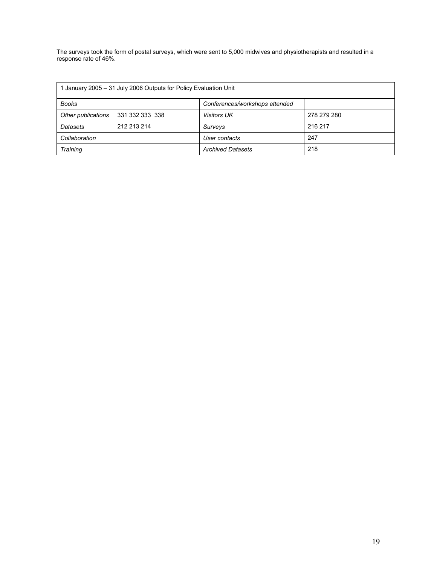The surveys took the form of postal surveys, which were sent to 5,000 midwives and physiotherapists and resulted in a response rate of 46%.

| 1 January 2005 – 31 July 2006 Outputs for Policy Evaluation Unit |                 |                                |             |
|------------------------------------------------------------------|-----------------|--------------------------------|-------------|
| <b>Books</b>                                                     |                 | Conferences/workshops attended |             |
| Other publications                                               | 331 332 333 338 | <b>Visitors UK</b>             | 278 279 280 |
| Datasets                                                         | 212 213 214     | Surveys                        | 216 217     |
| Collaboration                                                    |                 | User contacts                  | 247         |
| <b>Training</b>                                                  |                 | <b>Archived Datasets</b>       | 218         |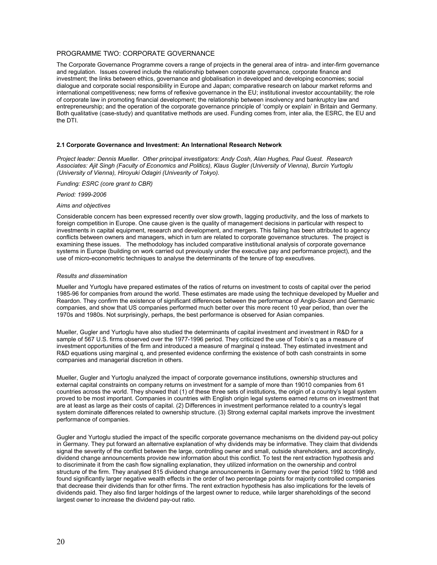### PROGRAMME TWO: CORPORATE GOVERNANCE

The Corporate Governance Programme covers a range of projects in the general area of intra- and inter-firm governance and regulation. Issues covered include the relationship between corporate governance, corporate finance and investment; the links between ethics, governance and globalisation in developed and developing economies; social dialogue and corporate social responsibility in Europe and Japan; comparative research on labour market reforms and international competitiveness; new forms of reflexive governance in the EU; institutional investor accountability; the role of corporate law in promoting financial development; the relationship between insolvency and bankruptcy law and entrepreneurship; and the operation of the corporate governance principle of 'comply or explain' in Britain and Germany. Both qualitative (case-study) and quantitative methods are used. Funding comes from, inter alia, the ESRC, the EU and the DTI.

#### 2.1 Corporate Governance and Investment: An International Research Network

Project leader: Dennis Mueller. Other principal investigators: Andy Cosh, Alan Hughes, Paul Guest. Research Associates: Ajit Singh (Faculty of Economics and Politics), Klaus Gugler (University of Vienna), Burcin Yurtoglu (University of Vienna), Hiroyuki Odagiri (Univesrity of Tokyo).

Funding: ESRC (core grant to CBR)

Period: 1999-2006

#### Aims and objectives

Considerable concern has been expressed recently over slow growth, lagging productivity, and the loss of markets to foreign competition in Europe. One cause given is the quality of management decisions in particular with respect to investments in capital equipment, research and development, and mergers. This failing has been attributed to agency conflicts between owners and managers, which in turn are related to corporate governance structures. The project is examining these issues. The methodology has included comparative institutional analysis of corporate governance systems in Europe (building on work carried out previously under the executive pay and performance project), and the use of micro-econometric techniques to analyse the determinants of the tenure of top executives.

#### Results and dissemination

Mueller and Yurtoglu have prepared estimates of the ratios of returns on investment to costs of capital over the period 1985-96 for companies from around the world. These estimates are made using the technique developed by Mueller and Reardon. They confirm the existence of significant differences between the performance of Anglo-Saxon and Germanic companies, and show that US companies performed much better over this more recent 10 year period, than over the 1970s and 1980s. Not surprisingly, perhaps, the best performance is observed for Asian companies.

Mueller, Gugler and Yurtoglu have also studied the determinants of capital investment and investment in R&D for a sample of 567 U.S. firms observed over the 1977-1996 period. They criticized the use of Tobin's q as a measure of investment opportunities of the firm and introduced a measure of marginal q instead. They estimated investment and R&D equations using marginal q, and presented evidence confirming the existence of both cash constraints in some companies and managerial discretion in others.

Mueller, Gugler and Yurtoglu analyzed the impact of corporate governance institutions, ownership structures and external capital constraints on company returns on investment for a sample of more than 19010 companies from 61 countries across the world. They showed that (1) of these three sets of institutions, the origin of a country's legal system proved to be most important. Companies in countries with English origin legal systems earned returns on investment that are at least as large as their costs of capital. (2) Differences in investment performance related to a country's legal system dominate differences related to ownership structure. (3) Strong external capital markets improve the investment performance of companies.

Gugler and Yurtoglu studied the impact of the specific corporate governance mechanisms on the dividend pay-out policy in Germany. They put forward an alternative explanation of why dividends may be informative. They claim that dividends signal the severity of the conflict between the large, controlling owner and small, outside shareholders, and accordingly, dividend change announcements provide new information about this conflict. To test the rent extraction hypothesis and to discriminate it from the cash flow signalling explanation, they utilized information on the ownership and control structure of the firm. They analysed 815 dividend change announcements in Germany over the period 1992 to 1998 and found significantly larger negative wealth effects in the order of two percentage points for majority controlled companies that decrease their dividends than for other firms. The rent extraction hypothesis has also implications for the levels of dividends paid. They also find larger holdings of the largest owner to reduce, while larger shareholdings of the second largest owner to increase the dividend pay-out ratio.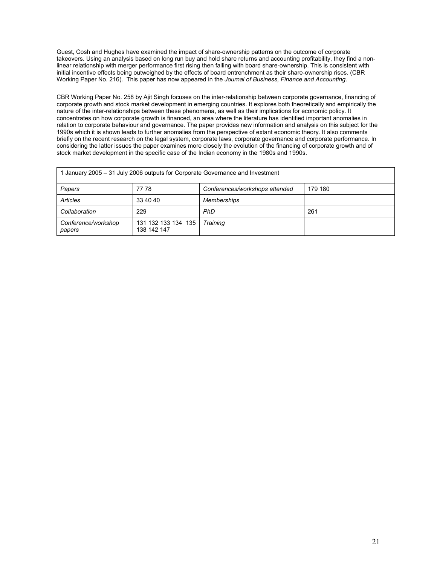Guest, Cosh and Hughes have examined the impact of share-ownership patterns on the outcome of corporate takeovers. Using an analysis based on long run buy and hold share returns and accounting profitability, they find a nonlinear relationship with merger performance first rising then falling with board share-ownership. This is consistent with initial incentive effects being outweighed by the effects of board entrenchment as their share-ownership rises. (CBR Working Paper No. 216). This paper has now appeared in the Journal of Business, Finance and Accounting.

CBR Working Paper No. 258 by Ajit Singh focuses on the inter-relationship between corporate governance, financing of corporate growth and stock market development in emerging countries. It explores both theoretically and empirically the nature of the inter-relationships between these phenomena, as well as their implications for economic policy. It concentrates on how corporate growth is financed, an area where the literature has identified important anomalies in relation to corporate behaviour and governance. The paper provides new information and analysis on this subject for the 1990s which it is shown leads to further anomalies from the perspective of extant economic theory. It also comments briefly on the recent research on the legal system, corporate laws, corporate governance and corporate performance. In considering the latter issues the paper examines more closely the evolution of the financing of corporate growth and of stock market development in the specific case of the Indian economy in the 1980s and 1990s.

| 1 January 2005 – 31 July 2006 outputs for Corporate Governance and Investment |                                    |                                |         |
|-------------------------------------------------------------------------------|------------------------------------|--------------------------------|---------|
| Papers                                                                        | 77 78                              | Conferences/workshops attended | 179 180 |
| Articles                                                                      | 33 40 40                           | <b>Memberships</b>             |         |
| Collaboration                                                                 | 229                                | PhD                            | 261     |
| Conference/workshop<br>papers                                                 | 131 132 133 134 135<br>138 142 147 | <b>Training</b>                |         |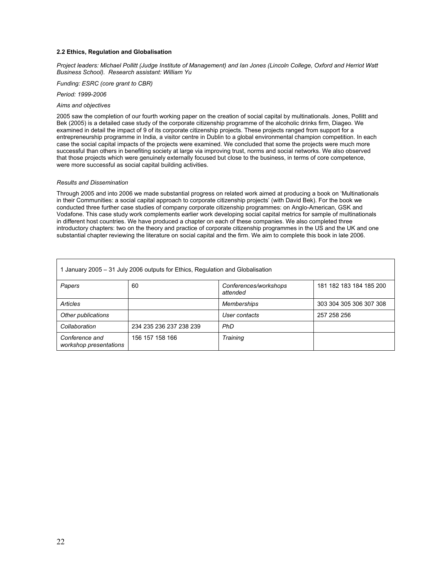#### 2.2 Ethics, Regulation and Globalisation

Project leaders: Michael Pollitt (Judge Institute of Management) and Ian Jones (Lincoln College, Oxford and Herriot Watt Business School). Research assistant: William Yu

Funding: ESRC (core grant to CBR)

Period: 1999-2006

#### Aims and objectives

2005 saw the completion of our fourth working paper on the creation of social capital by multinationals. Jones, Pollitt and Bek (2005) is a detailed case study of the corporate citizenship programme of the alcoholic drinks firm, Diageo. We examined in detail the impact of 9 of its corporate citizenship projects. These projects ranged from support for a entrepreneurship programme in India, a visitor centre in Dublin to a global environmental champion competition. In each case the social capital impacts of the projects were examined. We concluded that some the projects were much more successful than others in benefiting society at large via improving trust, norms and social networks. We also observed that those projects which were genuinely externally focused but close to the business, in terms of core competence, were more successful as social capital building activities.

#### Results and Dissemination

Through 2005 and into 2006 we made substantial progress on related work aimed at producing a book on 'Multinationals in their Communities: a social capital approach to corporate citizenship projects' (with David Bek). For the book we conducted three further case studies of company corporate citizenship programmes: on Anglo-American, GSK and Vodafone. This case study work complements earlier work developing social capital metrics for sample of multinationals in different host countries. We have produced a chapter on each of these companies. We also completed three introductory chapters: two on the theory and practice of corporate citizenship programmes in the US and the UK and one substantial chapter reviewing the literature on social capital and the firm. We aim to complete this book in late 2006.

| January 2005 – 31 July 2006 outputs for Ethics, Regulation and Globalisation |                         |                                   |                         |
|------------------------------------------------------------------------------|-------------------------|-----------------------------------|-------------------------|
| Papers                                                                       | 60                      | Conferences/workshops<br>attended | 181 182 183 184 185 200 |
| Articles                                                                     |                         | <b>Memberships</b>                | 303 304 305 306 307 308 |
| Other publications                                                           |                         | User contacts                     | 257 258 256             |
| Collaboration                                                                | 234 235 236 237 238 239 | <b>PhD</b>                        |                         |
| Conference and<br>workshop presentations                                     | 156 157 158 166         | <b>Training</b>                   |                         |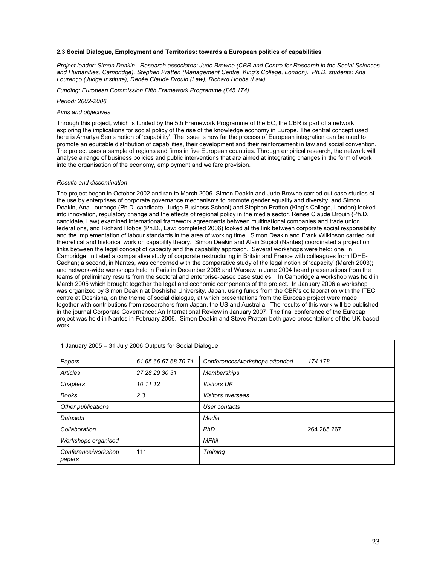#### 2.3 Social Dialogue, Employment and Territories: towards a European politics of capabilities

Project leader: Simon Deakin. Research associates: Jude Browne (CBR and Centre for Research in the Social Sciences and Humanities, Cambridge), Stephen Pratten (Management Centre, King's College, London). Ph.D. students: Ana Lourenço (Judge Institute), Renée Claude Drouin (Law), Richard Hobbs (Law).

Funding: European Commission Fifth Framework Programme (£45,174)

#### Period: 2002-2006

#### Aims and objectives

Through this project, which is funded by the 5th Framework Programme of the EC, the CBR is part of a network exploring the implications for social policy of the rise of the knowledge economy in Europe. The central concept used here is Amartya Sen's notion of 'capability'. The issue is how far the process of European integration can be used to promote an equitable distribution of capabilities, their development and their reinforcement in law and social convention. The project uses a sample of regions and firms in five European countries. Through empirical research, the network will analyse a range of business policies and public interventions that are aimed at integrating changes in the form of work into the organisation of the economy, employment and welfare provision.

#### Results and dissemination

The project began in October 2002 and ran to March 2006. Simon Deakin and Jude Browne carried out case studies of the use by enterprises of corporate governance mechanisms to promote gender equality and diversity, and Simon Deakin, Ana Lourenço (Ph.D. candidate, Judge Business School) and Stephen Pratten (King's College, London) looked into innovation, regulatory change and the effects of regional policy in the media sector. Renee Claude Drouin (Ph.D. candidate, Law) examined international framework agreements between multinational companies and trade union federations, and Richard Hobbs (Ph.D., Law: completed 2006) looked at the link between corporate social responsibility and the implementation of labour standards in the area of working time. Simon Deakin and Frank Wilkinson carried out theoretical and historical work on capability theory. Simon Deakin and Alain Supiot (Nantes) coordinated a project on links between the legal concept of capacity and the capability approach. Several workshops were held: one, in Cambridge, initiated a comparative study of corporate restructuring in Britain and France with colleagues from IDHE-Cachan; a second, in Nantes, was concerned with the comparative study of the legal notion of 'capacity' (March 2003); and network-wide workshops held in Paris in December 2003 and Warsaw in June 2004 heard presentations from the teams of preliminary results from the sectoral and enterprise-based case studies. In Cambridge a workshop was held in March 2005 which brought together the legal and economic components of the project. In January 2006 a workshop was organized by Simon Deakin at Doshisha University, Japan, using funds from the CBR's collaboration with the ITEC centre at Doshisha, on the theme of social dialogue, at which presentations from the Eurocap project were made together with contributions from researchers from Japan, the US and Australia. The results of this work will be published in the journal Corporate Governance: An International Review in January 2007. The final conference of the Eurocap project was held in Nantes in February 2006. Simon Deakin and Steve Pratten both gave presentations of the UK-based work.

| 1 January 2005 - 31 July 2006 Outputs for Social Dialogue |                      |                                |             |
|-----------------------------------------------------------|----------------------|--------------------------------|-------------|
| Papers                                                    | 61 65 66 67 68 70 71 | Conferences/workshops attended | 174 178     |
| <b>Articles</b>                                           | 27 28 29 30 31       | <b>Memberships</b>             |             |
| Chapters                                                  | 10 11 12             | <b>Visitors UK</b>             |             |
| <b>Books</b>                                              | 23                   | Visitors overseas              |             |
| Other publications                                        |                      | User contacts                  |             |
| Datasets                                                  |                      | Media                          |             |
| Collaboration                                             |                      | <b>PhD</b>                     | 264 265 267 |
| Workshops organised                                       |                      | <b>MPhil</b>                   |             |
| Conference/workshop<br>papers                             | 111                  | <b>Training</b>                |             |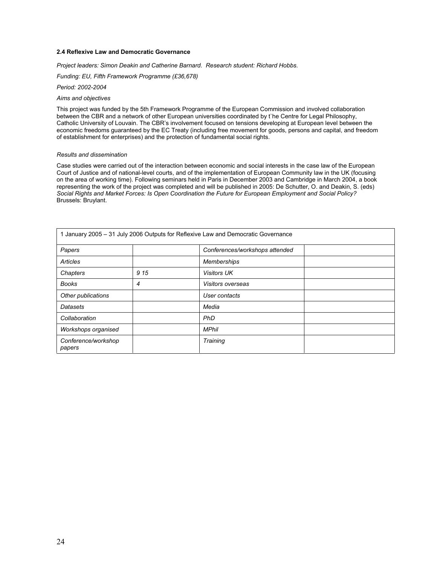#### 2.4 Reflexive Law and Democratic Governance

Project leaders: Simon Deakin and Catherine Barnard. Research student: Richard Hobbs.

Funding: EU, Fifth Framework Programme (£36,678)

Period: 2002-2004

#### Aims and objectives

This project was funded by the 5th Framework Programme of the European Commission and involved collaboration between the CBR and a network of other European universities coordinated by t`he Centre for Legal Philosophy, Catholic University of Louvain. The CBR's involvement focused on tensions developing at European level between the economic freedoms guaranteed by the EC Treaty (including free movement for goods, persons and capital, and freedom of establishment for enterprises) and the protection of fundamental social rights.

#### Results and dissemination

Case studies were carried out of the interaction between economic and social interests in the case law of the European Court of Justice and of national-level courts, and of the implementation of European Community law in the UK (focusing on the area of working time). Following seminars held in Paris in December 2003 and Cambridge in March 2004, a book representing the work of the project was completed and will be published in 2005: De Schutter, O. and Deakin, S. (eds) Social Rights and Market Forces: Is Open Coordination the Future for European Employment and Social Policy? Brussels: Bruylant.

|                               |      | 1 January 2005 - 31 July 2006 Outputs for Reflexive Law and Democratic Governance |  |
|-------------------------------|------|-----------------------------------------------------------------------------------|--|
| Papers                        |      | Conferences/workshops attended                                                    |  |
| Articles                      |      | <b>Memberships</b>                                                                |  |
| Chapters                      | 9 15 | <b>Visitors UK</b>                                                                |  |
| <b>Books</b>                  | 4    | Visitors overseas                                                                 |  |
| Other publications            |      | User contacts                                                                     |  |
| Datasets                      |      | Media                                                                             |  |
| Collaboration                 |      | <b>PhD</b>                                                                        |  |
| Workshops organised           |      | <b>MPhil</b>                                                                      |  |
| Conference/workshop<br>papers |      | <b>Training</b>                                                                   |  |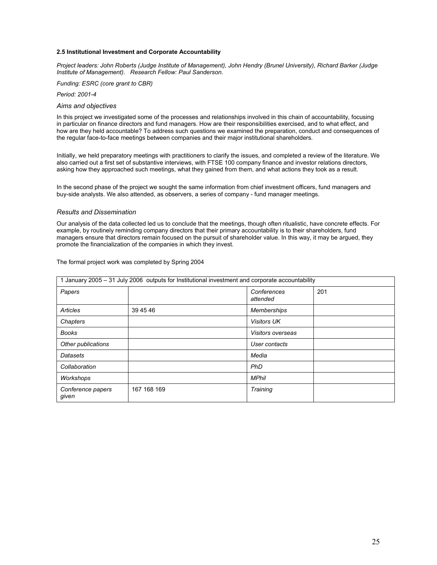#### 2.5 Institutional Investment and Corporate Accountability

Project leaders: John Roberts (Judge Institute of Management), John Hendry (Brunel University), Richard Barker (Judge Institute of Management). Research Fellow: Paul Sanderson.

Funding: ESRC (core grant to CBR)

Period: 2001-4

#### Aims and objectives

In this project we investigated some of the processes and relationships involved in this chain of accountability, focusing in particular on finance directors and fund managers. How are their responsibilities exercised, and to what effect, and how are they held accountable? To address such questions we examined the preparation, conduct and consequences of the regular face-to-face meetings between companies and their major institutional shareholders.

Initially, we held preparatory meetings with practitioners to clarify the issues, and completed a review of the literature. We also carried out a first set of substantive interviews, with FTSE 100 company finance and investor relations directors, asking how they approached such meetings, what they gained from them, and what actions they took as a result.

In the second phase of the project we sought the same information from chief investment officers, fund managers and buy-side analysts. We also attended, as observers, a series of company - fund manager meetings.

#### Results and Dissemination

Our analysis of the data collected led us to conclude that the meetings, though often ritualistic, have concrete effects. For example, by routinely reminding company directors that their primary accountability is to their shareholders, fund managers ensure that directors remain focused on the pursuit of shareholder value. In this way, it may be argued, they promote the financialization of the companies in which they invest.

| January 2005 - 31 July 2006 outputs for Institutional investment and corporate accountability |             |                         |     |  |  |  |  |  |  |  |  |
|-----------------------------------------------------------------------------------------------|-------------|-------------------------|-----|--|--|--|--|--|--|--|--|
| Papers                                                                                        |             | Conferences<br>attended | 201 |  |  |  |  |  |  |  |  |
| Articles                                                                                      | 39 45 46    | <b>Memberships</b>      |     |  |  |  |  |  |  |  |  |
| Chapters                                                                                      |             | <b>Visitors UK</b>      |     |  |  |  |  |  |  |  |  |
| <b>Books</b>                                                                                  |             | Visitors overseas       |     |  |  |  |  |  |  |  |  |
| Other publications                                                                            |             | User contacts           |     |  |  |  |  |  |  |  |  |
| Datasets                                                                                      |             | Media                   |     |  |  |  |  |  |  |  |  |
| Collaboration                                                                                 |             | <b>PhD</b>              |     |  |  |  |  |  |  |  |  |
| Workshops                                                                                     |             | <b>MPhil</b>            |     |  |  |  |  |  |  |  |  |
| Conference papers<br>given                                                                    | 167 168 169 | Training                |     |  |  |  |  |  |  |  |  |

The formal project work was completed by Spring 2004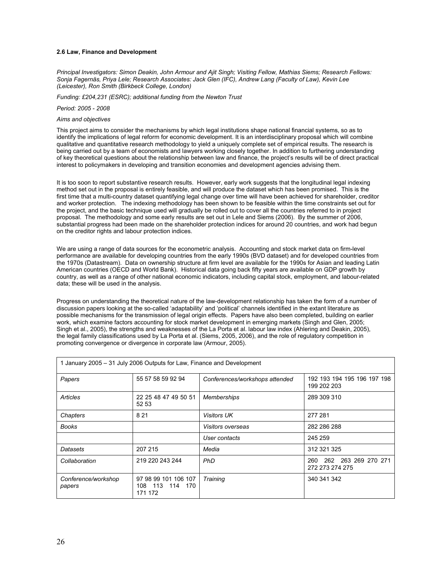#### 2.6 Law, Finance and Development

Principal Investigators: Simon Deakin, John Armour and Ajit Singh; Visiting Fellow, Mathias Siems; Research Fellows: Sonja Fagernäs, Priya Lele; Research Associates: Jack Glen (IFC), Andrew Lang (Faculty of Law), Kevin Lee (Leicester), Ron Smith (Birkbeck College, London)

Funding: £204,231 (ESRC); additional funding from the Newton Trust

Period: 2005 - 2008

#### Aims and objectives

This project aims to consider the mechanisms by which legal institutions shape national financial systems, so as to identify the implications of legal reform for economic development. It is an interdisciplinary proposal which will combine qualitative and quantitative research methodology to yield a uniquely complete set of empirical results. The research is being carried out by a team of economists and lawyers working closely together. In addition to furthering understanding of key theoretical questions about the relationship between law and finance, the project's results will be of direct practical interest to policymakers in developing and transition economies and development agencies advising them.

It is too soon to report substantive research results. However, early work suggests that the longitudinal legal indexing method set out in the proposal is entirely feasible, and will produce the dataset which has been promised. This is the first time that a multi-country dataset quantifying legal change over time will have been achieved for shareholder, creditor and worker protection. The indexing methodology has been shown to be feasible within the time constraints set out for the project, and the basic technique used will gradually be rolled out to cover all the countries referred to in project proposal. The methodology and some early results are set out in Lele and Siems (2006). By the summer of 2006, substantial progress had been made on the shareholder protection indices for around 20 countries, and work had begun on the creditor rights and labour protection indices.

We are using a range of data sources for the econometric analysis. Accounting and stock market data on firm-level performance are available for developing countries from the early 1990s (BVD dataset) and for developed countries from the 1970s (Datastream). Data on ownership structure at firm level are available for the 1990s for Asian and leading Latin American countries (OECD and World Bank). Historical data going back fifty years are available on GDP growth by country, as well as a range of other national economic indicators, including capital stock, employment, and labour-related data; these will be used in the analysis.

Progress on understanding the theoretical nature of the law-development relationship has taken the form of a number of discussion papers looking at the so-called 'adaptability' and 'political' channels identified in the extant literature as possible mechanisms for the transmission of legal origin effects. Papers have also been completed, building on earlier work, which examine factors accounting for stock market development in emerging markets (Singh and Glen, 2005; Singh et al., 2005), the strengths and weaknesses of the La Porta et al. labour law index (Ahlering and Deakin, 2005), the legal family classifications used by La Porta et al. (Siems, 2005, 2006), and the role of regulatory competition in promoting convergence or divergence in corporate law (Armour, 2005).

| 1 January 2005 - 31 July 2006 Outputs for Law, Finance and Development |                                                    |                                |                                                |  |  |  |  |  |  |  |  |
|------------------------------------------------------------------------|----------------------------------------------------|--------------------------------|------------------------------------------------|--|--|--|--|--|--|--|--|
| Papers                                                                 | 55 57 58 59 92 94                                  | Conferences/workshops attended | 192 193 194 195 196 197 198<br>199 202 203     |  |  |  |  |  |  |  |  |
| Articles                                                               | 22 25 48 47 49 50 51<br>52 53                      | <b>Memberships</b>             | 289 309 310                                    |  |  |  |  |  |  |  |  |
| Chapters                                                               | 8 2 1                                              | <b>Visitors UK</b>             | 277 281                                        |  |  |  |  |  |  |  |  |
| <b>Books</b>                                                           |                                                    | <i>Visitors overseas</i>       | 282 286 288                                    |  |  |  |  |  |  |  |  |
|                                                                        |                                                    | User contacts                  | 245 259                                        |  |  |  |  |  |  |  |  |
| Datasets                                                               | 207 215                                            | Media                          | 312 321 325                                    |  |  |  |  |  |  |  |  |
| Collaboration                                                          | 219 220 243 244                                    | <b>PhD</b>                     | 262 263 269 270 271<br>260.<br>272 273 274 275 |  |  |  |  |  |  |  |  |
| Conference/workshop<br>papers                                          | 97 98 99 101 106 107<br>108 113 114 170<br>171 172 | Training                       | 340 341 342                                    |  |  |  |  |  |  |  |  |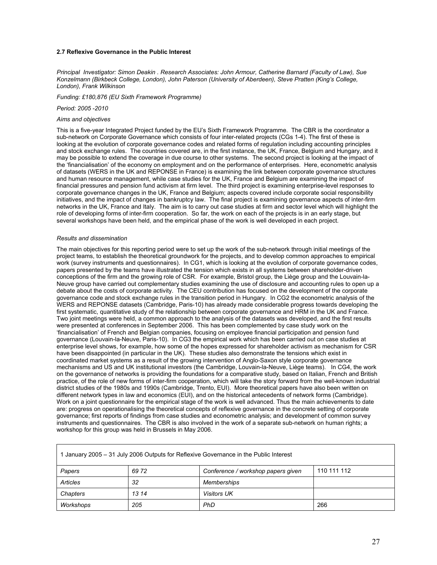#### 2.7 Reflexive Governance in the Public Interest

Principal Investigator: Simon Deakin . Research Associates: John Armour, Catherine Barnard (Faculty of Law), Sue Konzelmann (Birkbeck College, London), John Paterson (University of Aberdeen), Steve Pratten (King's College, London), Frank Wilkinson

Funding: £180,876 (EU Sixth Framework Programme)

Period: 2005 -2010

#### Aims and objectives

This is a five-year Integrated Project funded by the EU's Sixth Framework Programme. The CBR is the coordinator a sub-network on Corporate Governance which consists of four inter-related projects (CGs 1-4). The first of these is looking at the evolution of corporate governance codes and related forms of regulation including accounting principles and stock exchange rules. The countries covered are, in the first instance, the UK, France, Belgium and Hungary, and it may be possible to extend the coverage in due course to other systems. The second project is looking at the impact of the 'financialisation' of the economy on employment and on the performance of enterprises. Here, econometric analysis of datasets (WERS in the UK and REPONSE in France) is examining the link between corporate governance structures and human resource management, while case studies for the UK, France and Belgium are examining the impact of financial pressures and pension fund activism at firm level. The third project is examining enterprise-level responses to corporate governance changes in the UK, France and Belgium; aspects covered include corporate social responsibility initiatives, and the impact of changes in bankruptcy law. The final project is examining governance aspects of inter-firm networks in the UK, France and Italy. The aim is to carry out case studies at firm and sector level which will highlight the role of developing forms of inter-firm cooperation. So far, the work on each of the projects is in an early stage, but several workshops have been held, and the empirical phase of the work is well developed in each project.

#### Results and dissemination

The main objectives for this reporting period were to set up the work of the sub-network through initial meetings of the project teams, to establish the theoretical groundwork for the projects, and to develop common approaches to empirical work (survey instruments and questionnaires). In CG1, which is looking at the evolution of corporate governance codes, papers presented by the teams have illustrated the tension which exists in all systems between shareholder-driven conceptions of the firm and the growing role of CSR. For example, Bristol group, the Liège group and the Louvain-la-Neuve group have carried out complementary studies examining the use of disclosure and accounting rules to open up a debate about the costs of corporate activity. The CEU contribution has focused on the development of the corporate governance code and stock exchange rules in the transition period in Hungary. In CG2 the econometric analysis of the WERS and REPONSE datasets (Cambridge, Paris-10) has already made considerable progress towards developing the first systematic, quantitative study of the relationship between corporate governance and HRM in the UK and France. Two joint meetings were held, a common approach to the analysis of the datasets was developed, and the first results were presented at conferences in September 2006. This has been complemented by case study work on the 'financialisation' of French and Belgian companies, focusing on employee financial participation and pension fund governance (Louvain-la-Neuve, Paris-10). In CG3 the empirical work which has been carried out on case studies at enterprise level shows, for example, how some of the hopes expressed for shareholder activism as mechanism for CSR have been disappointed (in particular in the UK). These studies also demonstrate the tensions which exist in coordinated market systems as a result of the growing intervention of Anglo-Saxon style corporate governance mechanisms and US and UK institutional investors (the Cambridge, Louvain-la-Neuve, Liège teams). In CG4, the work on the governance of networks is providing the foundations for a comparative study, based on Italian, French and British practice, of the role of new forms of inter-firm cooperation, which will take the story forward from the well-known industrial district studies of the 1980s and 1990s (Cambridge, Trento, EUI). More theoretical papers have also been written on different network types in law and economics (EUI), and on the historical antecedents of network forms (Cambridge). Work on a joint questionnaire for the empirical stage of the work is well advanced. Thus the main achievements to date are: progress on operationalising the theoretical concepts of reflexive governance in the concrete setting of corporate governance; first reports of findings from case studies and econometric analysis; and development of common survey instruments and questionnaires. The CBR is also involved in the work of a separate sub-network on human rights; a workshop for this group was held in Brussels in May 2006.

| 1 January 2005 – 31 July 2006 Outputs for Reflexive Governance in the Public Interest |       |                    |     |  |  |  |  |  |  |  |
|---------------------------------------------------------------------------------------|-------|--------------------|-----|--|--|--|--|--|--|--|
| 110 111 112<br>6972<br>Conference / workshop papers given<br>Papers                   |       |                    |     |  |  |  |  |  |  |  |
| Articles                                                                              | 32    | <b>Memberships</b> |     |  |  |  |  |  |  |  |
| Chapters                                                                              | 13 14 | <b>Visitors UK</b> |     |  |  |  |  |  |  |  |
| Workshops                                                                             | 205   | PhD                | 266 |  |  |  |  |  |  |  |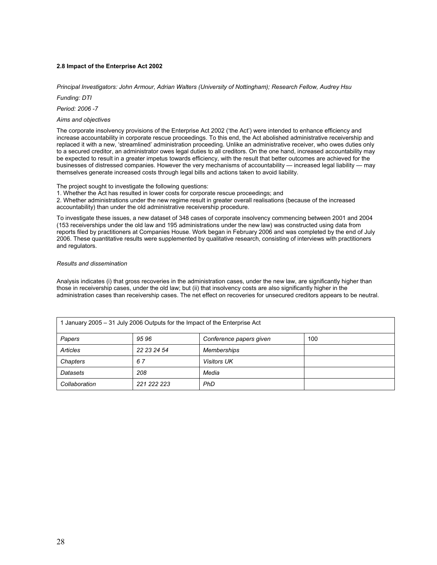### 2.8 Impact of the Enterprise Act 2002

Principal Investigators: John Armour, Adrian Walters (University of Nottingham); Research Fellow, Audrey Hsu

Funding: DTI

Period: 2006 -7

#### Aims and objectives

The corporate insolvency provisions of the Enterprise Act 2002 ('the Act') were intended to enhance efficiency and increase accountability in corporate rescue proceedings. To this end, the Act abolished administrative receivership and replaced it with a new, 'streamlined' administration proceeding. Unlike an administrative receiver, who owes duties only to a secured creditor, an administrator owes legal duties to all creditors. On the one hand, increased accountability may be expected to result in a greater impetus towards efficiency, with the result that better outcomes are achieved for the businesses of distressed companies. However the very mechanisms of accountability — increased legal liability — may themselves generate increased costs through legal bills and actions taken to avoid liability.

The project sought to investigate the following questions:

1. Whether the Act has resulted in lower costs for corporate rescue proceedings; and 2. Whether administrations under the new regime result in greater overall realisations (because of the increased accountability) than under the old administrative receivership procedure.

To investigate these issues, a new dataset of 348 cases of corporate insolvency commencing between 2001 and 2004 (153 receiverships under the old law and 195 administrations under the new law) was constructed using data from reports filed by practitioners at Companies House. Work began in February 2006 and was completed by the end of July 2006. These quantitative results were supplemented by qualitative research, consisting of interviews with practitioners and regulators.

#### Results and dissemination

Analysis indicates (i) that gross recoveries in the administration cases, under the new law, are significantly higher than those in receivership cases, under the old law; but (ii) that insolvency costs are also significantly higher in the administration cases than receivership cases. The net effect on recoveries for unsecured creditors appears to be neutral.

| 1 January 2005 – 31 July 2006 Outputs for the Impact of the Enterprise Act |             |                    |  |  |  |  |  |  |  |  |
|----------------------------------------------------------------------------|-------------|--------------------|--|--|--|--|--|--|--|--|
| 9596<br>100<br>Conference papers given<br>Papers                           |             |                    |  |  |  |  |  |  |  |  |
| Articles                                                                   | 22 23 24 54 | <b>Memberships</b> |  |  |  |  |  |  |  |  |
| Chapters                                                                   | 67          | <b>Visitors UK</b> |  |  |  |  |  |  |  |  |
| Datasets                                                                   | 208         | Media              |  |  |  |  |  |  |  |  |
| 221 222 223<br><b>PhD</b><br>Collaboration                                 |             |                    |  |  |  |  |  |  |  |  |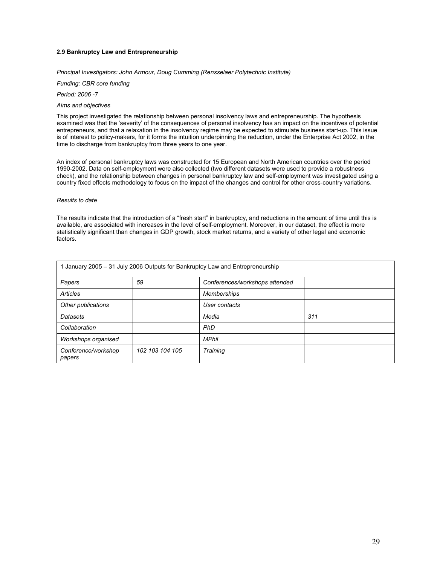#### 2.9 Bankruptcy Law and Entrepreneurship

Principal Investigators: John Armour, Doug Cumming (Rensselaer Polytechnic Institute)

Funding: CBR core funding

Period: 2006 -7

### Aims and objectives

This project investigated the relationship between personal insolvency laws and entrepreneurship. The hypothesis examined was that the 'severity' of the consequences of personal insolvency has an impact on the incentives of potential entrepreneurs, and that a relaxation in the insolvency regime may be expected to stimulate business start-up. This issue is of interest to policy-makers, for it forms the intuition underpinning the reduction, under the Enterprise Act 2002, in the time to discharge from bankruptcy from three years to one year.

An index of personal bankruptcy laws was constructed for 15 European and North American countries over the period 1990-2002. Data on self-employment were also collected (two different datasets were used to provide a robustness check), and the relationship between changes in personal bankruptcy law and self-employment was investigated using a country fixed effects methodology to focus on the impact of the changes and control for other cross-country variations.

#### Results to date

The results indicate that the introduction of a "fresh start" in bankruptcy, and reductions in the amount of time until this is available, are associated with increases in the level of self-employment. Moreover, in our dataset, the effect is more statistically significant than changes in GDP growth, stock market returns, and a variety of other legal and economic factors.

| January 2005 - 31 July 2006 Outputs for Bankruptcy Law and Entrepreneurship |                 |                                |     |  |  |  |  |  |  |  |
|-----------------------------------------------------------------------------|-----------------|--------------------------------|-----|--|--|--|--|--|--|--|
| Papers                                                                      | 59              | Conferences/workshops attended |     |  |  |  |  |  |  |  |
| Articles                                                                    |                 | <b>Memberships</b>             |     |  |  |  |  |  |  |  |
| Other publications                                                          |                 | User contacts                  |     |  |  |  |  |  |  |  |
| Datasets                                                                    |                 | Media                          | 311 |  |  |  |  |  |  |  |
| Collaboration                                                               |                 | <b>PhD</b>                     |     |  |  |  |  |  |  |  |
| Workshops organised                                                         |                 | <b>MPhil</b>                   |     |  |  |  |  |  |  |  |
| Conference/workshop<br>papers                                               | 102 103 104 105 | <b>Training</b>                |     |  |  |  |  |  |  |  |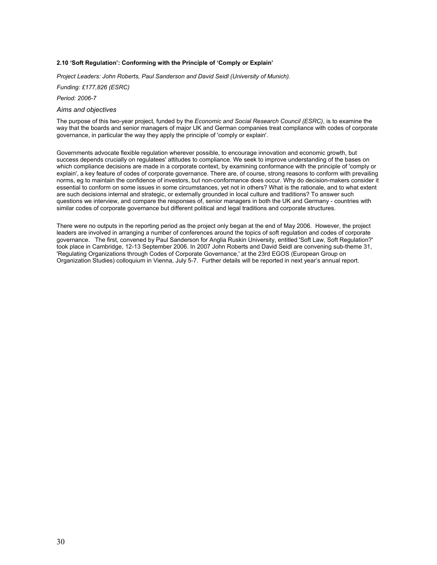#### 2.10 'Soft Regulation': Conforming with the Principle of 'Comply or Explain'

Project Leaders: John Roberts, Paul Sanderson and David Seidl (University of Munich).

Funding: £177,826 (ESRC)

Period: 2006-7

#### Aims and objectives

The purpose of this two-year project, funded by the Economic and Social Research Council (ESRC), is to examine the way that the boards and senior managers of major UK and German companies treat compliance with codes of corporate governance, in particular the way they apply the principle of 'comply or explain'.

Governments advocate flexible regulation wherever possible, to encourage innovation and economic growth, but success depends crucially on regulatees' attitudes to compliance. We seek to improve understanding of the bases on which compliance decisions are made in a corporate context, by examining conformance with the principle of 'comply or explain', a key feature of codes of corporate governance. There are, of course, strong reasons to conform with prevailing norms, eg to maintain the confidence of investors, but non-conformance does occur. Why do decision-makers consider it essential to conform on some issues in some circumstances, yet not in others? What is the rationale, and to what extent are such decisions internal and strategic, or externally grounded in local culture and traditions? To answer such questions we interview, and compare the responses of, senior managers in both the UK and Germany - countries with similar codes of corporate governance but different political and legal traditions and corporate structures.

There were no outputs in the reporting period as the project only began at the end of May 2006. However, the project leaders are involved in arranging a number of conferences around the topics of soft regulation and codes of corporate governance. The first, convened by Paul Sanderson for Anglia Ruskin University, entitled 'Soft Law, Soft Regulation?' took place in Cambridge, 12-13 September 2006. In 2007 John Roberts and David Seidl are convening sub-theme 31, 'Regulating Organizations through Codes of Corporate Governance,' at the 23rd EGOS (European Group on Organization Studies) colloquium in Vienna, July 5-7. Further details will be reported in next year's annual report.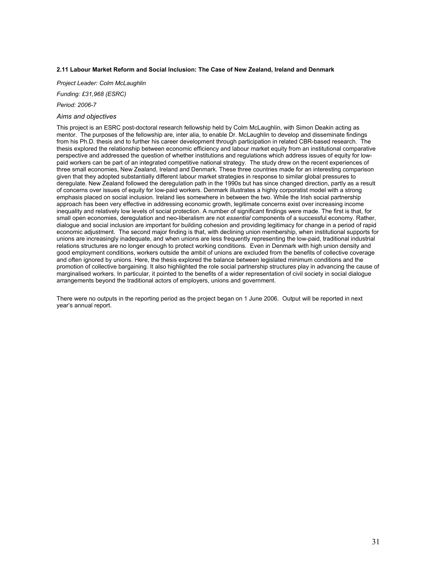#### 2.11 Labour Market Reform and Social Inclusion: The Case of New Zealand, Ireland and Denmark

Project Leader: Colm McLaughlin

Funding: £31,968 (ESRC)

Period: 2006-7

#### Aims and objectives

This project is an ESRC post-doctoral research fellowship held by Colm McLaughlin, with Simon Deakin acting as mentor. The purposes of the fellowship are, inter alia, to enable Dr. McLaughlin to develop and disseminate findings from his Ph.D. thesis and to further his career development through participation in related CBR-based research. The thesis explored the relationship between economic efficiency and labour market equity from an institutional comparative perspective and addressed the question of whether institutions and regulations which address issues of equity for lowpaid workers can be part of an integrated competitive national strategy. The study drew on the recent experiences of three small economies, New Zealand, Ireland and Denmark. These three countries made for an interesting comparison given that they adopted substantially different labour market strategies in response to similar global pressures to deregulate. New Zealand followed the deregulation path in the 1990s but has since changed direction, partly as a result of concerns over issues of equity for low-paid workers. Denmark illustrates a highly corporatist model with a strong emphasis placed on social inclusion. Ireland lies somewhere in between the two. While the Irish social partnership approach has been very effective in addressing economic growth, legitimate concerns exist over increasing income inequality and relatively low levels of social protection. A number of significant findings were made. The first is that, for small open economies, deregulation and neo-liberalism are not essential components of a successful economy. Rather, dialogue and social inclusion are important for building cohesion and providing legitimacy for change in a period of rapid economic adjustment. The second major finding is that, with declining union membership, when institutional supports for unions are increasingly inadequate, and when unions are less frequently representing the low-paid, traditional industrial relations structures are no longer enough to protect working conditions. Even in Denmark with high union density and good employment conditions, workers outside the ambit of unions are excluded from the benefits of collective coverage and often ignored by unions. Here, the thesis explored the balance between legislated minimum conditions and the promotion of collective bargaining. It also highlighted the role social partnership structures play in advancing the cause of marginalised workers. In particular, it pointed to the benefits of a wider representation of civil society in social dialogue arrangements beyond the traditional actors of employers, unions and government.

There were no outputs in the reporting period as the project began on 1 June 2006. Output will be reported in next year's annual report.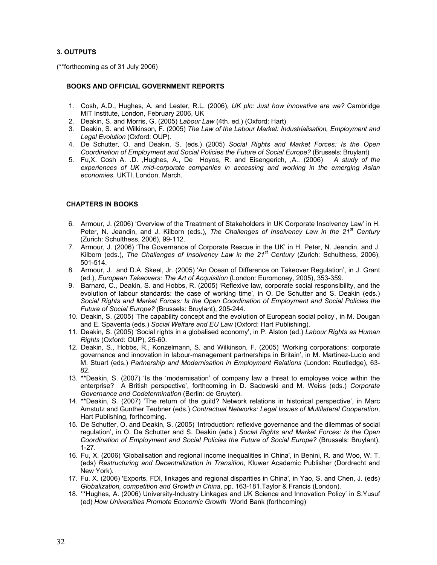# 3. OUTPUTS

(\*\*forthcoming as of 31 July 2006)

### BOOKS AND OFFICIAL GOVERNMENT REPORTS

- 1. Cosh, A.D., Hughes, A. and Lester, R.L. (2006), UK plc: Just how innovative are we? Cambridge MIT Institute, London, February 2006, UK
- 2. Deakin, S. and Morris, G. (2005) Labour Law (4th. ed.) (Oxford: Hart)
- 3. Deakin, S. and Wilkinson, F. (2005) The Law of the Labour Market: Industrialisation, Employment and Legal Evolution (Oxford: OUP).
- 4. De Schutter, O. and Deakin, S. (eds.) (2005) Social Rights and Market Forces: Is the Open Coordination of Employment and Social Policies the Future of Social Europe? (Brussels: Bruylant)
- 5. Fu,X. Cosh A. .D. ,Hughes, A., De Hoyos, R. and Eisengerich, ,A.. (2006) A study of the experiences of UK mid-corporate companies in accessing and working in the emerging Asian economies. UKTI, London, March.

# CHAPTERS IN BOOKS

- 6. Armour, J. (2006) 'Overview of the Treatment of Stakeholders in UK Corporate Insolvency Law' in H. Peter, N. Jeandin, and J. Kilborn (eds.), The Challenges of Insolvency Law in the  $21<sup>st</sup>$  Century (Zurich: Schulthess, 2006), 99-112.
- 7. Armour, J. (2006) 'The Governance of Corporate Rescue in the UK' in H. Peter, N. Jeandin, and J. Kilborn (eds.), The Challenges of Insolvency Law in the  $21<sup>st</sup>$  Century (Zurich: Schulthess, 2006), 501-514.
- 8. Armour, J. and D.A. Skeel, Jr. (2005) 'An Ocean of Difference on Takeover Regulation', in J. Grant (ed.), European Takeovers: The Art of Acquisition (London: Euromoney, 2005), 353-359.
- 9. Barnard, C., Deakin, S. and Hobbs, R. (2005) 'Reflexive law, corporate social responsibility, and the evolution of labour standards: the case of working time', in O. De Schutter and S. Deakin (eds.) Social Rights and Market Forces: Is the Open Coordination of Employment and Social Policies the Future of Social Europe? (Brussels: Bruylant), 205-244.
- 10. Deakin, S. (2005) 'The capability concept and the evolution of European social policy', in M. Dougan and E. Spaventa (eds.) Social Welfare and EU Law (Oxford: Hart Publishing).
- 11. Deakin, S. (2005) 'Social rights in a globalised economy', in P. Alston (ed.) Labour Rights as Human Rights (Oxford: OUP), 25-60.
- 12. Deakin, S., Hobbs, R., Konzelmann, S. and Wilkinson, F. (2005) 'Working corporations: corporate governance and innovation in labour-management partnerships in Britain', in M. Martinez-Lucio and M. Stuart (eds.) Partnership and Modernisation in Employment Relations (London: Routledge), 63- 82.
- 13. \*\*Deakin, S. (2007) 'Is the 'modernisation' of company law a threat to employee voice within the enterprise? A British perspective', forthcoming in D. Sadowski and M. Weiss (eds.) Corporate Governance and Codetermination (Berlin: de Gruyter).
- 14. \*\*Deakin, S. (2007) 'The return of the guild? Network relations in historical perspective', in Marc Amstutz and Gunther Teubner (eds.) Contractual Networks: Legal Issues of Multilateral Cooperation, Hart Publishing, forthcoming.
- 15. De Schutter, O. and Deakin, S. (2005) 'Introduction: reflexive governance and the dilemmas of social regulation', in O. De Schutter and S. Deakin (eds.) Social Rights and Market Forces: Is the Open Coordination of Employment and Social Policies the Future of Social Europe? (Brussels: Bruylant), 1-27.
- 16. Fu, X. (2006) 'Globalisation and regional income inequalities in China', in Benini, R. and Woo, W. T. (eds) Restructuring and Decentralization in Transition, Kluwer Academic Publisher (Dordrecht and New York).
- 17. Fu, X. (2006) 'Exports, FDI, linkages and regional disparities in China', in Yao, S. and Chen, J. (eds) Globalization, competition and Growth in China, pp. 163-181.Taylor & Francis (London).
- 18. \*\*Hughes, A. (2006) University-Industry Linkages and UK Science and Innovation Policy' in S.Yusuf (ed) How Universities Promote Economic Growth World Bank (forthcoming)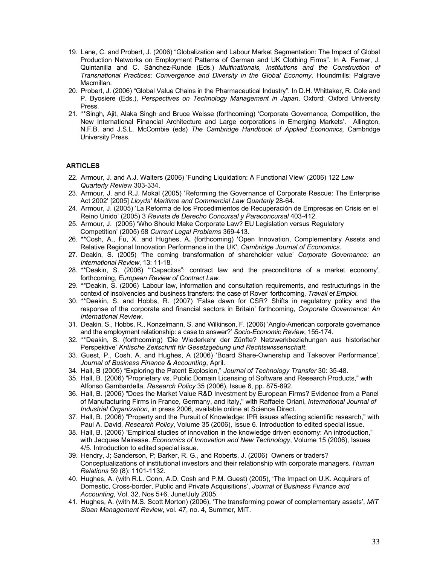- 19. Lane, C. and Probert, J. (2006) "Globalization and Labour Market Segmentation: The Impact of Global Production Networks on Employment Patterns of German and UK Clothing Firms". In A. Ferner, J. Quintanilla and C. Sánchez-Runde (Eds.) Multinationals, Institutions and the Construction of Transnational Practices: Convergence and Diversity in the Global Economy, Houndmills: Palgrave Macmillan.
- 20. Probert, J. (2006) "Global Value Chains in the Pharmaceutical Industry". In D.H. Whittaker, R. Cole and P. Byosiere (Eds.), Perspectives on Technology Management in Japan, Oxford: Oxford University Press.
- 21. \*\*Singh, Ajit, Alaka Singh and Bruce Weisse (forthcoming) 'Corporate Governance, Competition, the New International Financial Architecture and Large corporations in Emerging Markets'. Allington, N.F.B. and J.S.L. McCombie (eds) The Cambridge Handbook of Applied Economics, Cambridge University Press.

# **ARTICLES**

- 22. Armour, J. and A.J. Walters (2006) 'Funding Liquidation: A Functional View' (2006) 122 Law Quarterly Review 303-334.
- 23. Armour, J. and R.J. Mokal (2005) 'Reforming the Governance of Corporate Rescue: The Enterprise Act 2002' [2005] Lloyds' Maritime and Commercial Law Quarterly 28-64.
- 24. Armour, J. (2005) 'La Reforma de los Procedimientos de Recuperación de Empresas en Crisis en el Reino Unido' (2005) 3 Revista de Derecho Concursal y Paraconcursal 403-412.
- 25. Armour, J. (2005) 'Who Should Make Corporate Law? EU Legislation versus Regulatory Competition' (2005) 58 Current Legal Problems 369-413.
- 26. \*\*Cosh, A., Fu, X. and Hughes, A. (forthcoming) 'Open Innovation, Complementary Assets and Relative Regional Innovation Performance in the UK', Cambridge Journal of Economics.
- 27. Deakin, S. (2005) 'The coming transformation of shareholder value' Corporate Governance: an International Review, 13: 11-18.
- 28. \*\*Deakin, S. (2006) '"Capacitas": contract law and the preconditions of a market economy', forthcoming, European Review of Contract Law.
- 29. \*\*Deakin, S. (2006) 'Labour law, information and consultation requirements, and restructurings in the context of insolvencies and business transfers: the case of Rover' forthcoming, Travail et Emploi.
- 30. \*\*Deakin, S. and Hobbs, R. (2007) 'False dawn for CSR? Shifts in regulatory policy and the response of the corporate and financial sectors in Britain' forthcoming, Corporate Governance: An International Review.
- 31. Deakin, S., Hobbs, R., Konzelmann, S. and Wilkinson, F. (2006) 'Anglo-American corporate governance and the employment relationship: a case to answer?' Socio-Economic Review, 155-174.
- 32. \*\*Deakin, S. (forthcoming) 'Die Wiederkehr der Zünfte? Netzwerkbeziehungen aus historischer Perspektive' Kritische Zeitschrift für Gesetzgebung und Rechtswissenschaft.
- 33. Guest, P., Cosh, A. and Hughes, A (2006) 'Board Share-Ownership and Takeover Performance', Journal of Business Finance & Accounting, April.
- 34. Hall, B (2005) "Exploring the Patent Explosion," Journal of Technology Transfer 30: 35-48.
- 35. Hall, B. (2006) "Proprietary vs. Public Domain Licensing of Software and Research Products," with Alfonso Gambardella, Research Policy 35 (2006), Issue 6, pp. 875-892.
- 36. Hall, B. (2006) "Does the Market Value R&D Investment by European Firms? Evidence from a Panel of Manufacturing Firms in France, Germany, and Italy," with Raffaele Oriani, International Journal of Industrial Organization, in press 2006, available online at Science Direct.
- 37. Hall, B. (2006) "Property and the Pursuit of Knowledge: IPR issues affecting scientific research," with Paul A. David, Research Policy, Volume 35 (2006), Issue 6. Introduction to edited special issue.
- 38. Hall, B. (2006) "Empirical studies of innovation in the knowledge driven economy: An introduction," with Jacques Mairesse. Economics of Innovation and New Technology, Volume 15 (2006), Issues 4/5. Introduction to edited special issue.
- 39. Hendry, J; Sanderson, P; Barker, R. G., and Roberts, J. (2006) Owners or traders? Conceptualizations of institutional investors and their relationship with corporate managers. Human Relations 59 (8): 1101-1132.
- 40. Hughes, A. (with R.L. Conn, A.D. Cosh and P.M. Guest) (2005), 'The Impact on U.K. Acquirers of Domestic, Cross-border, Public and Private Acquisitions', Journal of Business Finance and Accounting, Vol. 32, Nos 5+6, June/July 2005.
- 41. Hughes, A. (with M.S. Scott Morton) (2006), 'The transforming power of complementary assets', MIT Sloan Management Review, vol. 47, no. 4, Summer, MIT.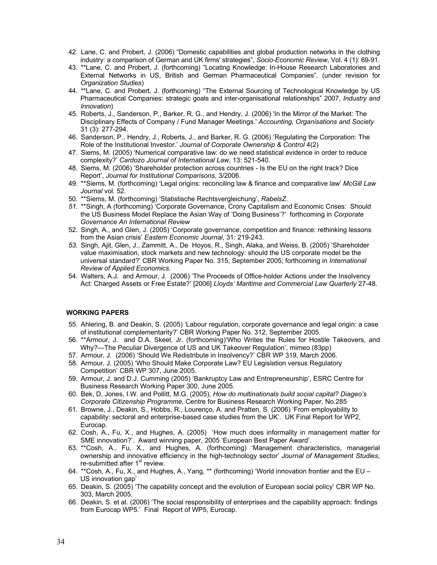- 42. Lane, C. and Probert, J. (2006) "Domestic capabilities and global production networks in the clothing industry: a comparison of German and UK firms' strategies", Socio-Economic Review, Vol. 4 (1): 69-91.
- 43. \*\*Lane, C. and Probert, J. (forthcoming) "Locating Knowledge: In-House Research Laboratories and External Networks in US, British and German Pharmaceutical Companies". (under revision for Organization Studies)
- 44. \*\*Lane, C. and Probert, J. (forthcoming) "The External Sourcing of Technological Knowledge by US Pharmaceutical Companies: strategic goals and inter-organisational relationships" 2007, Industry and Innovation)
- 45. Roberts, J., Sanderson, P., Barker, R. G., and Hendry, J. (2006) 'In the Mirror of the Market: The Disciplinary Effects of Company / Fund Manager Meetings.' Accounting, Organisations and Society 31 (3): 277-294.
- 46. Sanderson, P., Hendry, J., Roberts, J., and Barker, R. G. (2006) 'Regulating the Corporation: The Role of the Institutional Investor.' Journal of Corporate Ownership & Control 4(2)
- 47. Siems, M. (2005) 'Numerical comparative law: do we need statistical evidence in order to reduce complexity?' Cardozo Journal of International Law, 13: 521-540.
- 48. Siems, M. (2006) 'Shareholder protection across countries Is the EU on the right track? Dice Report', Journal for Institutional Comparisons, 3/2006.
- 49. \*\*Siems, M. (forthcoming) 'Legal origins: reconciling law & finance and comparative law' McGill Law Journal vol. 52.
- 50. \*\*Siems, M. (forthcoming) 'Statistische Rechtsvergleichung', RabelsZ.
- 51. \*\*Singh, A (forthcoming) 'Corporate Governance, Crony Capitalism and Economic Crises: Should the US Business Model Replace the Asian Way of 'Doing Business'?' forthcoming in Corporate Governance An International Review
- 52. Singh, A., and Glen, J. (2005) 'Corporate governance, competition and finance: rethinking lessons from the Asian crisis' Eastern Economic Journal, 31: 219-243.
- 53. Singh, Ajit, Glen, J., Zammitt, A., De Hoyos, R., Singh, Alaka, and Weiss, B. (2005) 'Shareholder value maximisation, stock markets and new technology: should the US corporate model be the universal standard?' CBR Working Paper No. 315, September 2005; forthcoming in International Review of Applied Economics.
- 54. Walters, A.J. and Armour, J. (2006) 'The Proceeds of Office-holder Actions under the Insolvency Act: Charged Assets or Free Estate?' [2006] Lloyds' Maritime and Commercial Law Quarterly 27-48.

# WORKING PAPERS

- 55. Ahlering, B. and Deakin, S. (2005) 'Labour regulation, corporate governance and legal origin: a case of institutional complementarity?' CBR Working Paper No. 312, September 2005.
- 56. \*\*Armour, J. and D.A. Skeel, Jr. (forthcoming)'Who Writes the Rules for Hostile Takeovers, and Why?—The Peculiar Divergence of US and UK Takeover Regulation', mimeo (83pp)
- 57. Armour, J. (2006) 'Should We Redistribute in Insolvency?' CBR WP 319, March 2006.
- 58. Armour, J. (2005) 'Who Should Make Corporate Law? EU Legislation versus Regulatory Competition' CBR WP 307, June 2005.
- 59. Armour, J. and D.J. Cumming (2005) 'Bankruptcy Law and Entrepreneurship', ESRC Centre for Business Research Working Paper 300, June 2005.
- 60. Bek, D, Jones, I.W. and Pollitt, M.G. (2005), How do multinationals build social capital? Diageo's Corporate Citizenship Programme, Centre for Business Research Working Paper, No.285
- 61. Browne, J., Deakin, S., Hobbs, R., Lourenço, A. and Pratten, S. (2006) 'From employability to capability: sectoral and enterprise-based case studies from the UK'. UK Final Report for WP2, Eurocap.
- 62. Cosh, A., Fu, X., and Hughes, A. (2005) 'How much does informality in management matter for SME innovation?'. Award winning paper, 2005 'European Best Paper Award'.
- 63. \*\*Cosh, A., Fu, X., and Hughes, A. (forthcoming) 'Management characteristics, managerial ownership and innovative efficiency in the high-technology sector' Journal of Management Studies, re-submitted after  $1<sup>st</sup>$  review.
- 64. \*\*Cosh, A., Fu, X., and Hughes, A., Yang, \*\* (forthcoming) 'World innovation frontier and the EU US innovation gap'
- 65. Deakin, S. (2005) 'The capability concept and the evolution of European social policy' CBR WP No. 303, March 2005.
- 66. Deakin, S. et al. (2006) 'The social responsibility of enterprises and the capability approach: findings from Eurocap WP5.' Final Report of WP5, Eurocap.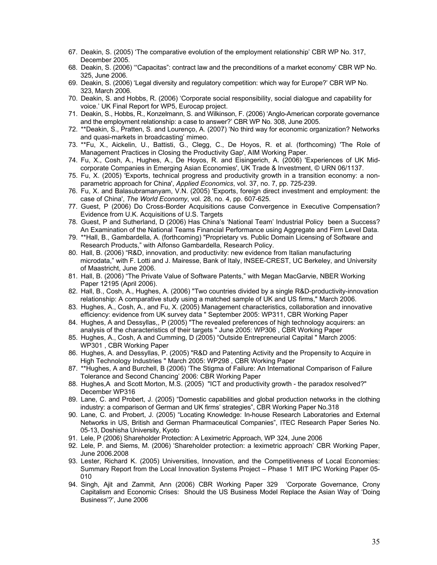- 67. Deakin, S. (2005) 'The comparative evolution of the employment relationship' CBR WP No. 317, December 2005.
- 68. Deakin, S. (2006) '"Capacitas": contract law and the preconditions of a market economy' CBR WP No. 325, June 2006.
- 69. Deakin, S. (2006) 'Legal diversity and regulatory competition: which way for Europe?' CBR WP No. 323, March 2006.
- 70. Deakin, S. and Hobbs, R. (2006) 'Corporate social responsibility, social dialogue and capability for voice.' UK Final Report for WP5, Eurocap project.
- 71. Deakin, S., Hobbs, R., Konzelmann, S. and Wilkinson, F. (2006) 'Anglo-American corporate governance and the employment relationship: a case to answer?' CBR WP No. 308, June 2005.
- 72. \*\*Deakin, S., Pratten, S. and Lourenço, A. (2007) 'No third way for economic organization? Networks and quasi-markets in broadcasting' mimeo.
- 73. \*\*Fu, X., Aickelin, U., Battisti, G., Clegg, C., De Hoyos, R. et al. (forthcoming) 'The Role of Management Practices in Closing the Productivity Gap', AIM Working Paper.
- 74. Fu, X., Cosh, A., Hughes, A., De Hoyos, R. and Eisingerich, A. (2006) 'Experiences of UK Midcorporate Companies in Emerging Asian Economies', UK Trade & Investment, © URN 06/1137.
- 75. Fu, X. (2005) 'Exports, technical progress and productivity growth in a transition economy: a nonparametric approach for China', Applied Economics, vol. 37, no. 7, pp. 725-239.
- 76. Fu, X. and Balasubramanyam, V.N. (2005) 'Exports, foreign direct investment and employment: the case of China', The World Economy, vol. 28, no. 4, pp. 607-625.
- 77. Guest, P (2006) Do Cross-Border Acquisitions cause Convergence in Executive Compensation? Evidence from U.K. Acquisitions of U.S. Targets
- 78. Guest, P and Sutherland, D (2006) Has China's 'National Team' Industrial Policy been a Success? An Examination of the National Teams Financial Performance using Aggregate and Firm Level Data.
- 79. \*\*Hall, B., Gambardella, A. (forthcoming) "Proprietary vs. Public Domain Licensing of Software and Research Products," with Alfonso Gambardella, Research Policy.
- 80. Hall, B. (2006) "R&D, innovation, and productivity: new evidence from Italian manufacturing microdata," with F. Lotti and J. Mairesse, Bank of Italy, INSEE-CREST, UC Berkeley, and University of Maastricht, June 2006.
- 81. Hall, B. (2006) "The Private Value of Software Patents," with Megan MacGarvie, NBER Working Paper 12195 (April 2006).
- 82. Hall, B., Cosh, A., Hughes, A. (2006) "Two countries divided by a single R&D-productivity-innovation relationship: A comparative study using a matched sample of UK and US firms," March 2006.
- 83. Hughes, A., Cosh, A., and Fu, X. (2005) Management characteristics, collaboration and innovative efficiency: evidence from UK survey data " September 2005: WP311, CBR Working Paper
- 84. Hughes, A and Dessyllas,, P (2005) "The revealed preferences of high technology acquirers: an analysis of the characteristics of their targets " June 2005: WP306 , CBR Working Paper
- 85. Hughes, A., Cosh, A and Cumming, D (2005) "Outside Entrepreneurial Capital " March 2005: WP301 , CBR Working Paper
- 86. Hughes, A. and Dessyllas, P. (2005) "R&D and Patenting Activity and the Propensity to Acquire in High Technology Industries " March 2005: WP298 , CBR Working Paper
- 87. \*\*Hughes, A and Burchell, B (2006) 'The Stigma of Failure: An International Comparison of Failure Tolerance and Second Chancing' 2006: CBR Working Paper
- 88. Hughes,A and Scott Morton, M.S. (2005) "ICT and productivity growth the paradox resolved?" December WP316
- 89. Lane, C. and Probert, J. (2005) "Domestic capabilities and global production networks in the clothing industry: a comparison of German and UK firms' strategies", CBR Working Paper No.318
- 90. Lane, C. and Probert, J. (2005) "Locating Knowledge: In-house Research Laboratories and External Networks in US, British and German Pharmaceutical Companies", ITEC Research Paper Series No. 05-13, Doshisha University, Kyoto
- 91. Lele, P (2006) Shareholder Protection: A Leximetric Approach, WP 324, June 2006
- 92. Lele, P. and Siems, M. (2006) 'Shareholder protection: a leximetric approach' CBR Working Paper, June 2006.2008
- 93. Lester, Richard K. (2005) Universities, Innovation, and the Competitiveness of Local Economies: Summary Report from the Local Innovation Systems Project – Phase 1 MIT IPC Working Paper 05- 010
- 94. Singh, Ajit and Zammit, Ann (2006) CBR Working Paper 329 'Corporate Governance, Crony Capitalism and Economic Crises: Should the US Business Model Replace the Asian Way of 'Doing Business'?', June 2006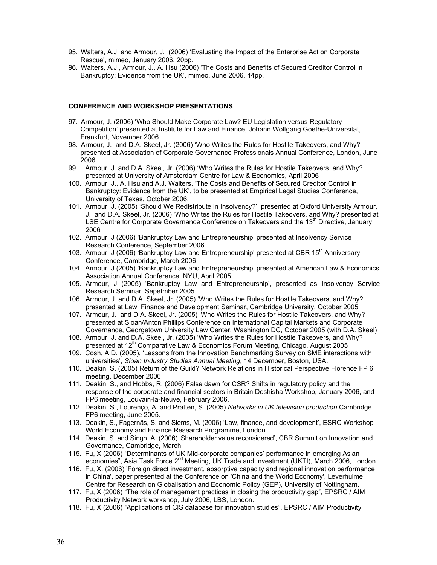- 95. Walters, A.J. and Armour, J. (2006) 'Evaluating the Impact of the Enterprise Act on Corporate Rescue', mimeo, January 2006, 20pp.
- 96. Walters, A.J., Armour, J., A. Hsu (2006) 'The Costs and Benefits of Secured Creditor Control in Bankruptcy: Evidence from the UK', mimeo, June 2006, 44pp.

### CONFERENCE AND WORKSHOP PRESENTATIONS

- 97. Armour, J. (2006) 'Who Should Make Corporate Law? EU Legislation versus Regulatory Competition' presented at Institute for Law and Finance, Johann Wolfgang Goethe-Universität, Frankfurt, November 2006.
- 98. Armour, J. and D.A. Skeel, Jr. (2006) 'Who Writes the Rules for Hostile Takeovers, and Why? presented at Association of Corporate Governance Professionals Annual Conference, London, June 2006
- 99. Armour, J. and D.A. Skeel, Jr. (2006) 'Who Writes the Rules for Hostile Takeovers, and Why? presented at University of Amsterdam Centre for Law & Economics, April 2006
- 100. Armour, J., A. Hsu and A.J. Walters, 'The Costs and Benefits of Secured Creditor Control in Bankruptcy: Evidence from the UK', to be presented at Empirical Legal Studies Conference, University of Texas, October 2006.
- 101. Armour, J. (2005) 'Should We Redistribute in Insolvency?', presented at Oxford University Armour, J. and D.A. Skeel, Jr. (2006) 'Who Writes the Rules for Hostile Takeovers, and Why? presented at LSE Centre for Corporate Governance Conference on Takeovers and the  $13<sup>th</sup>$  Directive, January 2006
- 102. Armour, J (2006) 'Bankruptcy Law and Entrepreneurship' presented at Insolvency Service Research Conference, September 2006
- 103. Armour, J (2006) 'Bankruptcy Law and Entrepreneurship' presented at CBR 15<sup>th</sup> Anniversary Conference, Cambridge, March 2006
- 104. Armour, J (2005) 'Bankruptcy Law and Entrepreneurship' presented at American Law & Economics Association Annual Conference, NYU, April 2005
- 105. Armour, J (2005) 'Bankruptcy Law and Entrepreneurship', presented as Insolvency Service Research Seminar, Sepetmber 2005.
- 106. Armour, J. and D.A. Skeel, Jr. (2005) 'Who Writes the Rules for Hostile Takeovers, and Why? presented at Law, Finance and Development Seminar, Cambridge University, October 2005
- 107. Armour, J. and D.A. Skeel, Jr. (2005) 'Who Writes the Rules for Hostile Takeovers, and Why? presented at Sloan/Anton Phillips Conference on International Capital Markets and Corporate Governance, Georgetown University Law Center, Washington DC, October 2005 (with D.A. Skeel)
- 108. Armour, J. and D.A. Skeel, Jr. (2005) 'Who Writes the Rules for Hostile Takeovers, and Why? presented at 12<sup>th</sup> Comparative Law & Economics Forum Meeting, Chicago, August 2005
- 109. Cosh, A.D. (2005), 'Lessons from the Innovation Benchmarking Survey on SME interactions with universities', Sloan Industry Studies Annual Meeting, 14 December, Boston, USA.
- 110. Deakin, S. (2005) Return of the Guild? Network Relations in Historical Perspective Florence FP 6 meeting, December 2006
- 111. Deakin, S., and Hobbs, R. (2006) False dawn for CSR? Shifts in regulatory policy and the response of the corporate and financial sectors in Britain Doshisha Workshop, January 2006, and FP6 meeting, Louvain-la-Neuve, February 2006.
- 112. Deakin, S., Lourenço, A. and Pratten, S. (2005) Networks in UK television production Cambridge FP6 meeting, June 2005.
- 113. Deakin, S., Fagernäs, S. and Siems, M. (2006) 'Law, finance, and development', ESRC Workshop World Economy and Finance Research Programme, London
- 114. Deakin, S. and Singh, A. (2006) 'Shareholder value reconsidered', CBR Summit on Innovation and Governance, Cambridge, March.
- 115. Fu, X (2006) "Determinants of UK Mid-corporate companies' performance in emerging Asian economies", Asia Task Force 2<sup>nd</sup> Meeting, UK Trade and Investment (UKTI), March 2006, London.
- 116. Fu, X. (2006) 'Foreign direct investment, absorptive capacity and regional innovation performance in China', paper presented at the Conference on 'China and the World Economy', Leverhulme Centre for Research on Globalisation and Economic Policy (GEP), University of Nottingham.
- 117. Fu, X (2006) "The role of management practices in closing the productivity gap", EPSRC / AIM Productivity Network workshop, July 2006, LBS, London.
- 118. Fu, X (2006) "Applications of CIS database for innovation studies", EPSRC / AIM Productivity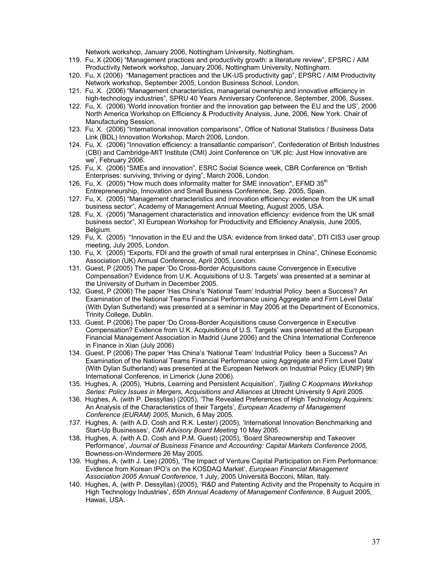Network workshop, January 2006, Nottingham University, Nottingham.

- 119. Fu, X (2006) "Management practices and productivity growth: a literature review", EPSRC / AIM Productivity Network workshop, January 2006, Nottingham University, Nottingham.
- 120. Fu, X (2006) "Management practices and the UK-US productivity gap", EPSRC / AIM Productivity Network workshop, September 2005, London Business School, London.
- 121. Fu, X. (2006) "Management characteristics, managerial ownership and innovative efficiency in high-technology industries", SPRU 40 Years Anniversary Conference, September, 2006, Sussex.
- 122. Fu, X. (2006) 'World innovation frontier and the innovation gap between the EU and the US', 2006 North America Workshop on Efficiency & Productivity Analysis, June, 2006, New York. Chair of Manufacturing Session.
- 123. Fu, X. (2006) "International innovation comparisons", Office of National Statistics / Business Data Link (BDL) Innovation Workshop, March 2006, London.
- 124. Fu, X. (2006) "Innovation efficiency: a transatlantic comparison", Confederation of British Industries (CBI) and Cambridge-MIT Institute (CMI) Joint Conference on 'UK plc: Just How innovative are we', February 2006.
- 125. Fu, X. (2006) "SMEs and innovation", ESRC Social Science week, CBR Conference on "British Enterprises: surviving, thriving or dying", March 2006, London.
- 126. Fu, X. (2005) "How much does informality matter for SME innovation", EFMD 35<sup>th</sup> Entrepreneurship, Innovation and Small Business Conference, Sep. 2005, Spain.
- 127. Fu, X. (2005) "Management characteristics and innovation efficiency: evidence from the UK small business sector", Academy of Management Annual Meeting, August 2005, USA.
- 128. Fu, X. (2005) "Management characteristics and innovation efficiency: evidence from the UK small business sector", XI European Workshop for Productivity and Efficiency Analysis, June 2005, Belgium.
- 129. Fu, X. (2005) "Innovation in the EU and the USA: evidence from linked data", DTI CIS3 user group meeting, July 2005, London.
- 130. Fu, X. (2005) "Exports, FDI and the growth of small rural enterprises in China", Chinese Economic Association (UK) Annual Conference, April 2005, London.
- 131. Guest, P (2005) The paper 'Do Cross-Border Acquisitions cause Convergence in Executive Compensation? Evidence from U.K. Acquisitions of U.S. Targets' was presented at a seminar at the University of Durham in December 2005.
- 132. Guest, P (2006) The paper 'Has China's 'National Team' Industrial Policy been a Success? An Examination of the National Teams Financial Performance using Aggregate and Firm Level Data' (With Dylan Sutherland) was presented at a seminar in May 2006 at the Department of Economics, Trinity College, Dublin.
- 133. Guest, P (2006) The paper 'Do Cross-Border Acquisitions cause Convergence in Executive Compensation? Evidence from U.K. Acquisitions of U.S. Targets' was presented at the European Financial Management Association in Madrid (June 2006) and the China International Conference in Finance in Xian (July 2006)
- 134. Guest, P (2006) The paper 'Has China's 'National Team' Industrial Policy been a Success? An Examination of the National Teams Financial Performance using Aggregate and Firm Level Data' (With Dylan Sutherland) was presented at the European Network on Industrial Policy (EUNIP) 9th International Conference, in Limerick (June 2006).
- 135. Hughes, A. (2005), 'Hubris, Learning and Persistent Acquisition', Tjalling C Koopmans Workshop Series: Policy Issues in Mergers, Acquisitions and Alliances at Utrecht University 9 April 2005.
- 136. Hughes, A. (with P. Dessyllas) (2005), 'The Revealed Preferences of High Technology Acquirers: An Analysis of the Characteristics of their Targets', European Academy of Management Conference (EURAM) 2005, Munich, 6 May 2005.
- 137. Hughes, A. (with A.D. Cosh and R.K. Lester) (2005), 'International Innovation Benchmarking and Start-Up Businesses', CMI Advisory Board Meeting 10 May 2005.
- 138. Hughes, A. (with A.D. Cosh and P.M. Guest) (2005), 'Board Shareownership and Takeover Performance', Journal of Business Finance and Accounting: Capital Markets Conference 2005, Bowness-on-Windermere 26 May 2005.
- 139. Hughes, A. (with J. Lee) (2005), 'The Impact of Venture Capital Participation on Firm Performance: Evidence from Korean IPO's on the KOSDAQ Market', European Financial Management Association 2005 Annual Conference, 1 July, 2005 Università Bocconi, Milan, Italy.
- 140. Hughes, A. (with P. Dessyllas) (2005), 'R&D and Patenting Activity and the Propensity to Acquire in High Technology Industries', 65th Annual Academy of Management Conference, 8 August 2005, Hawaii, USA.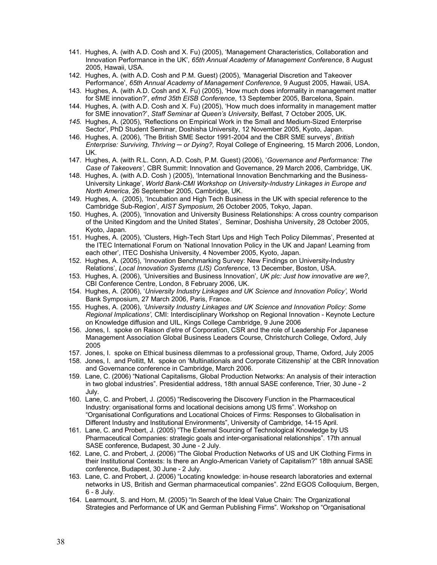- 141. Hughes, A. (with A.D. Cosh and X. Fu) (2005), 'Management Characteristics, Collaboration and Innovation Performance in the UK', 65th Annual Academy of Management Conference, 8 August 2005, Hawaii, USA.
- 142. Hughes, A. (with A.D. Cosh and P.M. Guest) (2005), 'Managerial Discretion and Takeover Performance', 65th Annual Academy of Management Conference, 9 August 2005, Hawaii, USA.
- 143. Hughes, A. (with A.D. Cosh and X. Fu) (2005), 'How much does informality in management matter for SME innovation?', efmd 35th EISB Conference, 13 September 2005, Barcelona, Spain.
- 144. Hughes, A. (with A.D. Cosh and X. Fu) (2005), 'How much does informality in management matter for SME innovation?', Staff Seminar at Queen's University, Belfast, 7 October 2005, UK.
- 145. Hughes, A. (2005), 'Reflections on Empirical Work in the Small and Medium-Sized Enterprise Sector', PhD Student Seminar, Doshisha University, 12 November 2005, Kyoto, Japan.
- 146. Hughes, A. (2006), 'The British SME Sector 1991-2004 and the CBR SME surveys', British Enterprise: Surviving, Thriving — or Dying?, Royal College of Engineering, 15 March 2006, London, UK.
- 147. Hughes, A. (with R.L. Conn, A.D. Cosh, P.M. Guest) (2006), 'Governance and Performance: The Case of Takeovers', CBR Summit: Innovation and Governance, 29 March 2006, Cambridge, UK.
- 148. Hughes, A. (with A.D. Cosh ) (2005), 'International Innovation Benchmarking and the Business-University Linkage', World Bank-CMI Workshop on University-Industry Linkages in Europe and North America, 26 September 2005, Cambridge, UK.
- 149. Hughes, A. (2005), 'Incubation and High Tech Business in the UK with special reference to the Cambridge Sub-Region', AIST Symposium, 26 October 2005, Tokyo, Japan.
- 150. Hughes, A. (2005), 'Innovation and University Business Relationships: A cross country comparison of the United Kingdom and the United States', Seminar, Doshisha University, 28 October 2005, Kyoto, Japan.
- 151. Hughes, A. (2005), 'Clusters, High-Tech Start Ups and High Tech Policy Dilemmas', Presented at the ITEC International Forum on 'National Innovation Policy in the UK and Japan! Learning from each other', ITEC Doshisha University, 4 November 2005, Kyoto, Japan.
- 152. Hughes, A. (2005), 'Innovation Benchmarking Survey: New Findings on University-Industry Relations', Local Innovation Systems (LIS) Conference, 13 December, Boston, USA.
- 153. Hughes, A. (2006), 'Universities and Business Innovation', UK plc: Just how innovative are we?, CBI Conference Centre, London, 8 February 2006, UK.
- 154. Hughes, A. (2006), 'University Industry Linkages and UK Science and Innovation Policy', World Bank Symposium, 27 March 2006, Paris, France.
- 155. Hughes, A. (2006), 'University Industry Linkages and UK Science and Innovation Policy: Some Regional Implications', CMI: Interdisciplinary Workshop on Regional Innovation - Keynote Lecture on Knowledge diffusion and UIL, Kings College Cambridge, 9 June 2006
- 156. Jones, I. spoke on Raison d'etre of Corporation, CSR and the role of Leadership For Japanese Management Association Global Business Leaders Course, Christchurch College, Oxford, July 2005
- 157. Jones, I. spoke on Ethical business dilemmas to a professional group, Thame, Oxford, July 2005
- 158. Jones, I. and Pollitt, M. spoke on 'Multinationals and Corporate Citizenship' at the CBR Innovation and Governance conference in Cambridge, March 2006.
- 159. Lane, C. (2006) "National Capitalisms, Global Production Networks: An analysis of their interaction in two global industries". Presidential address, 18th annual SASE conference, Trier, 30 June - 2 July.
- 160. Lane, C. and Probert, J. (2005) "Rediscovering the Discovery Function in the Pharmaceutical Industry: organisational forms and locational decisions among US firms". Workshop on "Organisational Configurations and Locational Choices of Firms: Responses to Globalisation in Different Industry and Institutional Environments", University of Cambridge, 14-15 April.
- 161. Lane, C. and Probert, J. (2005) "The External Sourcing of Technological Knowledge by US Pharmaceutical Companies: strategic goals and inter-organisational relationships". 17th annual SASE conference, Budapest, 30 June - 2 July.
- 162. Lane, C. and Probert, J. (2006) "The Global Production Networks of US and UK Clothing Firms in their Institutional Contexts: Is there an Anglo-American Variety of Capitalism?" 18th annual SASE conference, Budapest, 30 June - 2 July.
- 163. Lane, C. and Probert, J. (2006) "Locating knowledge: in-house research laboratories and external networks in US, British and German pharmaceutical companies". 22nd EGOS Colloquium, Bergen, 6 - 8 July.
- 164. Learmount, S. and Horn, M. (2005) "In Search of the Ideal Value Chain: The Organizational Strategies and Performance of UK and German Publishing Firms". Workshop on "Organisational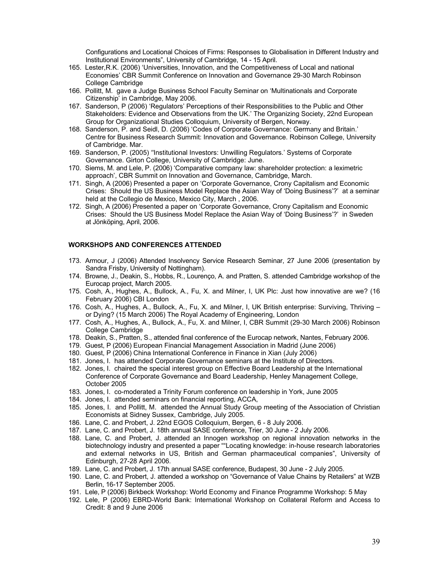Configurations and Locational Choices of Firms: Responses to Globalisation in Different Industry and Institutional Environments", University of Cambridge, 14 - 15 April.

- 165. Lester,R.K. (2006) 'Universities, Innovation, and the Competitiveness of Local and national Economies' CBR Summit Conference on Innovation and Governance 29-30 March Robinson College Cambridge
- 166. Pollitt, M. gave a Judge Business School Faculty Seminar on 'Multinationals and Corporate Citizenship' in Cambridge, May 2006.
- 167. Sanderson, P (2006) 'Regulators' Perceptions of their Responsibilities to the Public and Other Stakeholders: Evidence and Observations from the UK.' The Organizing Society, 22nd European Group for Organizational Studies Colloquium, University of Bergen, Norway.
- 168. Sanderson, P. and Seidl, D. (2006) 'Codes of Corporate Governance: Germany and Britain.' Centre for Business Research Summit: Innovation and Governance. Robinson College, University of Cambridge. Mar.
- 169. Sanderson, P. (2005) ''Institutional Investors: Unwilling Regulators.' Systems of Corporate Governance. Girton College, University of Cambridge: June.
- 170. Siems, M. and Lele, P. (2006) 'Comparative company law: shareholder protection: a leximetric approach', CBR Summit on Innovation and Governance, Cambridge, March.
- 171. Singh, A (2006) Presented a paper on 'Corporate Governance, Crony Capitalism and Economic Crises: Should the US Business Model Replace the Asian Way of 'Doing Business'?' at a seminar held at the Collegio de Mexico, Mexico City, March , 2006.
- 172. Singh, A (2006) Presented a paper on 'Corporate Governance, Crony Capitalism and Economic Crises: Should the US Business Model Replace the Asian Way of 'Doing Business'?' in Sweden at Jönköping, April, 2006.

### WORKSHOPS AND CONFERENCES ATTENDED

- 173. Armour, J (2006) Attended Insolvency Service Research Seminar, 27 June 2006 (presentation by Sandra Frisby, University of Nottingham).
- 174. Browne, J., Deakin, S., Hobbs, R., Lourenço, A. and Pratten, S. attended Cambridge workshop of the Eurocap project, March 2005.
- 175. Cosh, A., Hughes, A., Bullock, A., Fu, X. and Milner, I, UK Plc: Just how innovative are we? (16 February 2006) CBI London
- 176. Cosh, A., Hughes, A., Bullock, A., Fu, X. and Milner, I, UK British enterprise: Surviving, Thriving or Dying? (15 March 2006) The Royal Academy of Engineering, London
- 177. Cosh, A., Hughes, A., Bullock, A., Fu, X. and Milner, I, CBR Summit (29-30 March 2006) Robinson College Cambridge
- 178. Deakin, S., Pratten, S., attended final conference of the Eurocap network, Nantes, February 2006.
- 179. Guest, P (2006) European Financial Management Association in Madrid (June 2006)
- 180. Guest, P (2006) China International Conference in Finance in Xian (July 2006)
- 181. Jones, I. has attended Corporate Governance seminars at the Institute of Directors.
- 182. Jones, I. chaired the special interest group on Effective Board Leadership at the International Conference of Corporate Governance and Board Leadership, Henley Management College, October 2005
- 183. Jones, I. co-moderated a Trinity Forum conference on leadership in York, June 2005
- 184. Jones, I. attended seminars on financial reporting, ACCA,
- 185. Jones, I. and Pollitt, M. attended the Annual Study Group meeting of the Association of Christian Economists at Sidney Sussex, Cambridge, July 2005.
- 186. Lane, C. and Probert, J. 22nd EGOS Colloquium, Bergen, 6 8 July 2006.
- 187. Lane, C. and Probert, J. 18th annual SASE conference, Trier, 30 June 2 July 2006.
- 188. Lane, C. and Probert, J. attended an Innogen workshop on regional innovation networks in the biotechnology industry and presented a paper ""Locating knowledge: in-house research laboratories and external networks in US, British and German pharmaceutical companies", University of Edinburgh, 27-28 April 2006.
- 189. Lane, C. and Probert, J. 17th annual SASE conference, Budapest, 30 June 2 July 2005.
- 190. Lane, C. and Probert, J. attended a workshop on "Governance of Value Chains by Retailers" at WZB Berlin, 16-17 September 2005.
- 191. Lele, P (2006) Birkbeck Workshop: World Economy and Finance Programme Workshop: 5 May
- 192. Lele, P (2006) EBRD-World Bank: International Workshop on Collateral Reform and Access to Credit: 8 and 9 June 2006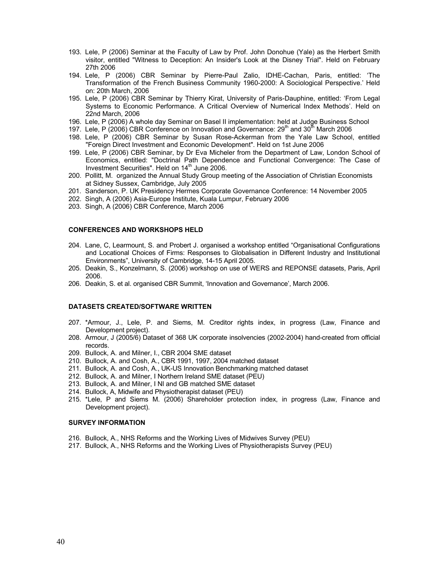- 193. Lele, P (2006) Seminar at the Faculty of Law by Prof. John Donohue (Yale) as the Herbert Smith visitor, entitled "Witness to Deception: An Insider's Look at the Disney Trial". Held on February 27th 2006
- 194. Lele, P (2006) CBR Seminar by Pierre-Paul Zalio, IDHE-Cachan, Paris, entitled: 'The Transformation of the French Business Community 1960-2000: A Sociological Perspective.' Held on: 20th March, 2006
- 195. Lele, P (2006) CBR Seminar by Thierry Kirat, University of Paris-Dauphine, entitled: 'From Legal Systems to Economic Performance. A Critical Overview of Numerical Index Methods'. Held on 22nd March, 2006
- 196. Lele, P (2006) A whole day Seminar on Basel II implementation: held at Judge Business School
- 197. Lele, P (2006) CBR Conference on Innovation and Governance:  $29<sup>th</sup>$  and  $30<sup>th</sup>$  March 2006
- 198. Lele, P (2006) CBR Seminar by Susan Rose-Ackerman from the Yale Law School, entitled "Foreign Direct Investment and Economic Development". Held on 1st June 2006
- 199. Lele, P (2006) CBR Seminar, by Dr Eva Micheler from the Department of Law, London School of Economics, entitled: "Doctrinal Path Dependence and Functional Convergence: The Case of Investment Securities". Held on  $14<sup>th</sup>$  June 2006.
- 200. Pollitt, M. organized the Annual Study Group meeting of the Association of Christian Economists at Sidney Sussex, Cambridge, July 2005
- 201. Sanderson, P. UK Presidency Hermes Corporate Governance Conference: 14 November 2005
- 202. Singh, A (2006) Asia-Europe Institute, Kuala Lumpur, February 2006
- 203. Singh, A (2006) CBR Conference, March 2006

### CONFERENCES AND WORKSHOPS HELD

- 204. Lane, C, Learmount, S. and Probert J. organised a workshop entitled "Organisational Configurations and Locational Choices of Firms: Responses to Globalisation in Different Industry and Institutional Environments", University of Cambridge, 14-15 April 2005.
- 205. Deakin, S., Konzelmann, S. (2006) workshop on use of WERS and REPONSE datasets, Paris, April 2006.
- 206. Deakin, S. et al. organised CBR Summit, 'Innovation and Governance', March 2006.

#### DATASETS CREATED/SOFTWARE WRITTEN

- 207. \*Armour, J., Lele, P. and Siems, M. Creditor rights index, in progress (Law, Finance and Development project).
- 208. Armour, J (2005/6) Dataset of 368 UK corporate insolvencies (2002-2004) hand-created from official records.
- 209. Bullock, A. and Milner, I., CBR 2004 SME dataset
- 210. Bullock, A. and Cosh, A., CBR 1991, 1997, 2004 matched dataset
- 211. Bullock, A. and Cosh, A., UK-US Innovation Benchmarking matched dataset
- 212. Bullock, A. and Milner, I Northern Ireland SME dataset (PEU)
- 213. Bullock, A. and Milner, I NI and GB matched SME dataset
- 214. Bullock, A, Midwife and Physiotherapist dataset (PEU)
- 215. \*Lele, P and Siems M. (2006) Shareholder protection index, in progress (Law, Finance and Development project).

### SURVEY INFORMATION

- 216. Bullock, A., NHS Reforms and the Working Lives of Midwives Survey (PEU)
- 217. Bullock, A., NHS Reforms and the Working Lives of Physiotherapists Survey (PEU)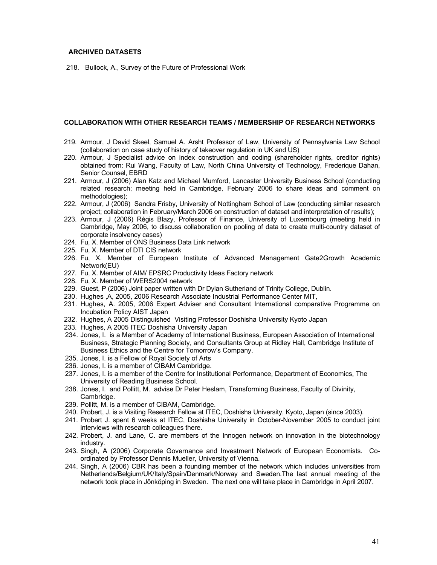### ARCHIVED DATASETS

218. Bullock, A., Survey of the Future of Professional Work

### COLLABORATION WITH OTHER RESEARCH TEAMS / MEMBERSHIP OF RESEARCH NETWORKS

- 219. Armour, J David Skeel, Samuel A. Arsht Professor of Law, University of Pennsylvania Law School (collaboration on case study of history of takeover regulation in UK and US)
- 220. Armour, J Specialist advice on index construction and coding (shareholder rights, creditor rights) obtained from: Rui Wang, Faculty of Law, North China University of Technology, Frederique Dahan, Senior Counsel, EBRD
- 221. Armour, J (2006) Alan Katz and Michael Mumford, Lancaster University Business School (conducting related research; meeting held in Cambridge, February 2006 to share ideas and comment on methodologies);
- 222. Armour, J (2006) Sandra Frisby, University of Nottingham School of Law (conducting similar research project; collaboration in February/March 2006 on construction of dataset and interpretation of results);
- 223. Armour, J (2006) Régis Blazy, Professor of Finance, University of Luxembourg (meeting held in Cambridge, May 2006, to discuss collaboration on pooling of data to create multi-country dataset of corporate insolvency cases)
- 224. Fu, X. Member of ONS Business Data Link network
- 225. Fu, X. Member of DTI CIS network
- 226. Fu, X. Member of European Institute of Advanced Management Gate2Growth Academic Network(EU)
- 227. Fu, X. Member of AIM/ EPSRC Productivity Ideas Factory network
- 228. Fu, X. Member of WERS2004 network
- 229. Guest, P (2006) Joint paper written with Dr Dylan Sutherland of Trinity College, Dublin.
- 230. Hughes ,A, 2005, 2006 Research Associate Industrial Performance Center MIT,
- 231. Hughes, A. 2005, 2006 Expert Adviser and Consultant International comparative Programme on Incubation Policy AIST Japan
- 232. Hughes, A 2005 Distinguished Visiting Professor Doshisha University Kyoto Japan
- 233. Hughes, A 2005 ITEC Doshisha University Japan
- 234. Jones, I. is a Member of Academy of International Business, European Association of International Business, Strategic Planning Society, and Consultants Group at Ridley Hall, Cambridge Institute of Business Ethics and the Centre for Tomorrow's Company.
- 235. Jones, I. is a Fellow of Royal Society of Arts
- 236. Jones, I. is a member of CIBAM Cambridge.
- 237. Jones, I. is a member of the Centre for Institutional Performance, Department of Economics, The University of Reading Business School.
- 238. Jones, I. and Pollitt, M. advise Dr Peter Heslam, Transforming Business, Faculty of Divinity, Cambridge.
- 239. Pollitt, M. is a member of CIBAM, Cambridge.
- 240. Probert, J. is a Visiting Research Fellow at ITEC, Doshisha University, Kyoto, Japan (since 2003).
- 241. Probert J. spent 6 weeks at ITEC, Doshisha University in October-November 2005 to conduct joint interviews with research colleagues there.
- 242. Probert, J. and Lane, C. are members of the Innogen network on innovation in the biotechnology industry.
- 243. Singh, A (2006) Corporate Governance and Investment Network of European Economists. Coordinated by Professor Dennis Mueller, University of Vienna.
- 244. Singh, A (2006) CBR has been a founding member of the network which includes universities from Netherlands/Belgium/UK/Italy/Spain/Denmark/Norway and Sweden.The last annual meeting of the network took place in Jönköping in Sweden. The next one will take place in Cambridge in April 2007.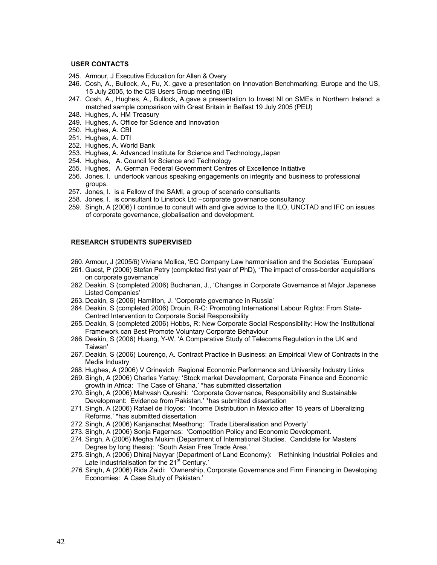### USER CONTACTS

- 245. Armour, J Executive Education for Allen & Overy
- 246. Cosh, A., Bullock, A., Fu, X. gave a presentation on Innovation Benchmarking: Europe and the US, 15 July 2005, to the CIS Users Group meeting (IB)
- 247. Cosh, A., Hughes, A., Bullock, A.gave a presentation to Invest NI on SMEs in Northern Ireland: a matched sample comparison with Great Britain in Belfast 19 July 2005 (PEU)
- 248. Hughes, A. HM Treasury
- 249. Hughes, A. Office for Science and Innovation
- 250. Hughes, A. CBI
- 251. Hughes, A. DTI
- 252. Hughes, A. World Bank
- 253. Hughes, A. Advanced Institute for Science and Technology,Japan
- 254. Hughes, A. Council for Science and Technology
- 255. Hughes, A. German Federal Government Centres of Excellence Initiative
- 256. Jones, I. undertook various speaking engagements on integrity and business to professional groups.
- 257. Jones, I. is a Fellow of the SAMI, a group of scenario consultants
- 258. Jones, I. is consultant to Linstock Ltd –corporate governance consultancy
- 259. Singh, A (2006) I continue to consult with and give advice to the ILO, UNCTAD and IFC on issues of corporate governance, globalisation and development.

### RESEARCH STUDENTS SUPERVISED

- 260. Armour, J (2005/6) Viviana Mollica, 'EC Company Law harmonisation and the Societas `Europaea'
- 261. Guest, P (2006) Stefan Petry (completed first year of PhD), "The impact of cross-border acquisitions on corporate governance"
- 262. Deakin, S (completed 2006) Buchanan, J., 'Changes in Corporate Governance at Major Japanese Listed Companies'
- 263. Deakin, S (2006) Hamilton, J. 'Corporate governance in Russia'
- 264. Deakin, S (completed 2006) Drouin, R-C: Promoting International Labour Rights: From State-Centred Intervention to Corporate Social Responsibility
- 265. Deakin, S (completed 2006) Hobbs, R: New Corporate Social Responsibility: How the Institutional Framework can Best Promote Voluntary Corporate Behaviour
- 266. Deakin, S (2006) Huang, Y-W, 'A Comparative Study of Telecoms Regulation in the UK and Taiwan'
- 267. Deakin, S (2006) Lourenço, A. Contract Practice in Business: an Empirical View of Contracts in the Media Industry
- 268. Hughes, A (2006) V Grinevich Regional Economic Performance and University Industry Links
- 269. Singh, A (2006) Charles Yartey: 'Stock market Development, Corporate Finance and Economic growth in Africa: The Case of Ghana.' \*has submitted dissertation
- 270. Singh, A (2006) Mahvash Qureshi: 'Corporate Governance, Responsibility and Sustainable Development: Evidence from Pakistan.' \*has submitted dissertation
- 271. Singh, A (2006) Rafael de Hoyos: 'Income Distribution in Mexico after 15 years of Liberalizing Reforms.' \*has submitted dissertation
- 272. Singh, A (2006) Kanjanachat Meethong: 'Trade Liberalisation and Poverty'
- 273. Singh, A (2006) Sonja Fagernas: 'Competition Policy and Economic Development.
- 274. Singh, A (2006) Megha Mukim (Department of International Studies. Candidate for Masters' Degree by long thesis): 'South Asian Free Trade Area.'
- 275. Singh, A (2006) Dhiraj Nayyar (Department of Land Economy): 'Rethinking Industrial Policies and Late Industrialisation for the 21<sup>st</sup> Century.'
- 276. Singh, A (2006) Rida Zaidi: 'Ownership, Corporate Governance and Firm Financing in Developing Economies: A Case Study of Pakistan.'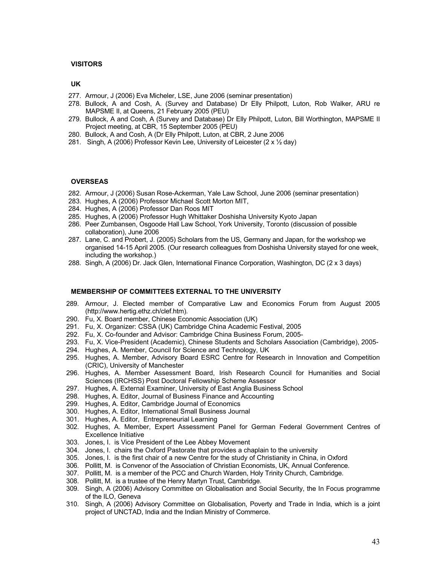### VISITORS

### UK

- 277. Armour, J (2006) Eva Micheler, LSE, June 2006 (seminar presentation)
- 278. Bullock, A and Cosh, A. (Survey and Database) Dr Elly Philpott, Luton, Rob Walker, ARU re MAPSME II, at Queens, 21 February 2005 (PEU)
- 279. Bullock, A and Cosh, A (Survey and Database) Dr Elly Philpott, Luton, Bill Worthington, MAPSME II Project meeting, at CBR, 15 September 2005 (PEU)
- 280. Bullock, A and Cosh, A (Dr Elly Philpott, Luton, at CBR, 2 June 2006
- 281. Singh, A (2006) Professor Kevin Lee, University of Leicester (2 x ½ day)

### **OVERSEAS**

- 282. Armour, J (2006) Susan Rose-Ackerman, Yale Law School, June 2006 (seminar presentation)
- 283. Hughes, A (2006) Professor Michael Scott Morton MIT,
- 284. Hughes, A (2006) Professor Dan Roos MIT
- 285. Hughes, A (2006) Professor Hugh Whittaker Doshisha University Kyoto Japan
- 286. Peer Zumbansen, Osgoode Hall Law School, York University, Toronto (discussion of possible collaboration), June 2006
- 287. Lane, C. and Probert, J. (2005) Scholars from the US, Germany and Japan, for the workshop we organised 14-15 April 2005. (Our research colleagues from Doshisha University stayed for one week, including the workshop.)
- 288. Singh, A (2006) Dr. Jack Glen, International Finance Corporation, Washington, DC (2 x 3 days)

### MEMBERSHIP OF COMMITTEES EXTERNAL TO THE UNIVERSITY

- 289. Armour, J. Elected member of Comparative Law and Economics Forum from August 2005 (http://www.hertig.ethz.ch/clef.htm).
- 290. Fu, X. Board member, Chinese Economic Association (UK)
- 291. Fu, X. Organizer: CSSA (UK) Cambridge China Academic Festival, 2005
- 292. Fu, X. Co-founder and Advisor: Cambridge China Business Forum, 2005-
- 293. Fu, X. Vice-President (Academic), Chinese Students and Scholars Association (Cambridge), 2005-
- 294. Hughes, A. Member, Council for Science and Technology, UK
- 295. Hughes, A. Member, Advisory Board ESRC Centre for Research in Innovation and Competition (CRIC), University of Manchester
- 296. Hughes, A. Member Assessment Board, Irish Research Council for Humanities and Social Sciences (IRCHSS) Post Doctoral Fellowship Scheme Assessor
- 297. Hughes, A. External Examiner, University of East Anglia Business School
- 298. Hughes, A. Editor, Journal of Business Finance and Accounting
- 299. Hughes, A. Editor, Cambridge Journal of Economics
- 300. Hughes, A. Editor, International Small Business Journal
- 301. Hughes, A. Editor, Entrepreneurial Learning
- 302. Hughes, A. Member, Expert Assessment Panel for German Federal Government Centres of Excellence Initiative
- 303. Jones, I. is Vice President of the Lee Abbey Movement
- 304. Jones, I. chairs the Oxford Pastorate that provides a chaplain to the university
- 305. Jones, I. is the first chair of a new Centre for the study of Christianity in China, in Oxford
- 306. Pollitt, M. is Convenor of the Association of Christian Economists, UK, Annual Conference.
- 307. Pollitt, M. is a member of the PCC and Church Warden, Holy Trinity Church, Cambridge.
- 308. Pollitt, M. is a trustee of the Henry Martyn Trust, Cambridge.
- 309. Singh, A (2006) Advisory Committee on Globalisation and Social Security, the In Focus programme of the ILO, Geneva
- 310. Singh, A (2006) Advisory Committee on Globalisation, Poverty and Trade in India, which is a joint project of UNCTAD, India and the Indian Ministry of Commerce.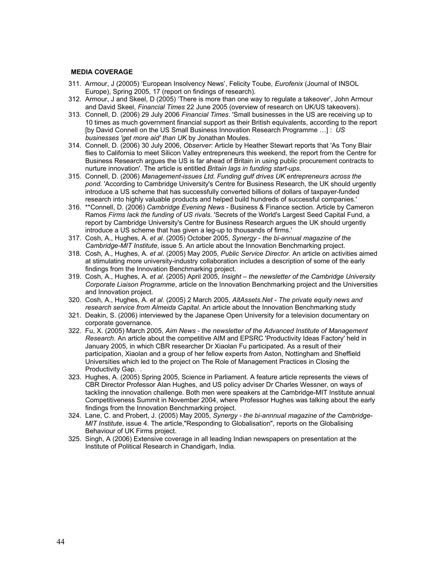### MEDIA COVERAGE

- 311. Armour, J (20005) 'European Insolvency News', Felicity Toube, Eurofenix (Journal of INSOL Europe), Spring 2005, 17 (report on findings of research).
- 312. Armour, J and Skeel, D (2005) 'There is more than one way to regulate a takeover', John Armour and David Skeel, Financial Times 22 June 2005 (overview of research on UK/US takeovers).
- 313. Connell, D. (2006) 29 July 2006 Financial Times. 'Small businesses in the US are receiving up to 10 times as much government financial support as their British equivalents, according to the report [by David Connell on the US Small Business Innovation Research Programme …] : US businesses 'get more aid' than UK by Jonathan Moules.
- 314. Connell, D. (2006) 30 July 2006, Observer: Article by Heather Stewart reports that 'As Tony Blair flies to California to meet Silicon Valley entrepreneurs this weekend, the report from the Centre for Business Research argues the US is far ahead of Britain in using public procurement contracts to nurture innovation'. The article is entitled Britain lags in funding start-ups.
- 315. Connell, D. (2006) Management-issues Ltd. Funding gulf drives UK entrepreneurs across the pond. 'According to Cambridge University's Centre for Business Research, the UK should urgently introduce a US scheme that has successfully converted billions of dollars of taxpayer-funded research into highly valuable products and helped build hundreds of successful companies.'
- 316. \*\*Connell, D. (2006) Cambridge Evening News Business & Finance section. Article by Cameron Ramos Firms lack the funding of US rivals. 'Secrets of the World's Largest Seed Capital Fund, a report by Cambridge University's Centre for Business Research argues the UK should urgently introduce a US scheme that has given a leg-up to thousands of firms.'
- 317. Cosh, A., Hughes, A. et al. (2005) October 2005, Synergy the bi-annual magazine of the Cambridge-MIT Institute, issue 5. An article about the Innovation Benchmarking project.
- 318. Cosh, A., Hughes, A. et al. (2005) May 2005, Public Service Director. An article on activities aimed at stimulating more university-industry collaboration includes a description of some of the early findings from the Innovation Benchmarking project.
- 319. Cosh, A., Hughes, A. et al. (2005) April 2005, Insight the newsletter of the Cambridge University Corporate Liaison Programme, article on the Innovation Benchmarking project and the Universities and Innovation project.
- 320. Cosh, A., Hughes, A. et al. (2005) 2 March 2005, AltAssets.Net The private equity news and research service from Almeida Capital. An article about the Innovation Benchmarking study
- 321. Deakin, S. (2006) interviewed by the Japanese Open University for a television documentary on corporate governance.
- 322. Fu, X. (2005) March 2005, Aim News the newsletter of the Advanced Institute of Management Research. An article about the competitive AIM and EPSRC 'Productivity Ideas Factory' held in January 2005, in which CBR researcher Dr Xiaolan Fu participated. As a result of their participation, Xiaolan and a group of her fellow experts from Aston, Nottingham and Sheffield Universities which led to the project on The Role of Management Practices in Closing the Productivity Gap. .
- 323. Hughes, A. (2005) Spring 2005, Science in Parliament. A feature article represents the views of CBR Director Professor Alan Hughes, and US policy adviser Dr Charles Wessner, on ways of tackling the innovation challenge. Both men were speakers at the Cambridge-MIT Institute annual Competitiveness Summit in November 2004, where Professor Hughes was talking about the early findings from the Innovation Benchmarking project.
- 324. Lane, C. and Probert, J. (2005) May 2005, Synergy the bi-annnual magazine of the Cambridge-MIT Institute, issue 4. The article,"Responding to Globalisation", reports on the Globalising Behaviour of UK Firms project.
- 325. Singh, A (2006) Extensive coverage in all leading Indian newspapers on presentation at the Institute of Political Research in Chandigarh, India.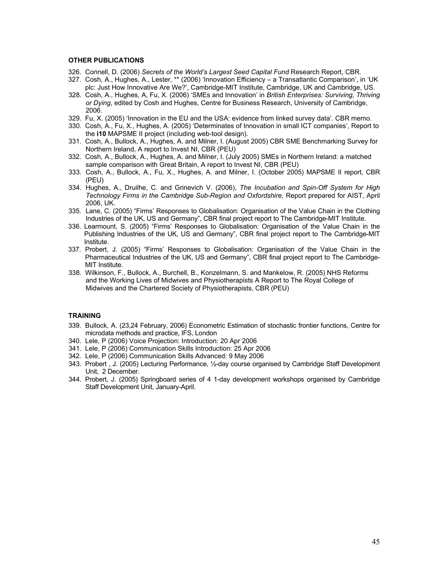### OTHER PUBLICATIONS

- 326. Connell, D. (2006) Secrets of the World's Largest Seed Capital Fund Research Report, CBR.
- 327. Cosh, A., Hughes, A., Lester, \*\* (2006) 'Innovation Efficiency a Transatlantic Comparison', in 'UK plc: Just How Innovative Are We?', Cambridge-MIT Institute, Cambridge, UK and Cambridge, US.
- 328. Cosh, A., Hughes, A, Fu, X. (2006) 'SMEs and Innovation' in British Enterprises: Surviving, Thriving or Dying, edited by Cosh and Hughes, Centre for Business Research, University of Cambridge, 2006.
- 329. Fu, X. (2005) 'Innovation in the EU and the USA: evidence from linked survey data'. CBR memo.
- 330. Cosh, A., Fu, X., Hughes, A. (2005) 'Determinates of Innovation in small ICT companies', Report to the i10 MAPSME II project (including web-tool design).
- 331. Cosh, A., Bullock, A., Hughes, A. and Milner, I. (August 2005) CBR SME Benchmarking Survey for Northern Ireland, A report to Invest NI, CBR (PEU)
- 332. Cosh, A., Bullock, A., Hughes, A. and Milner, I. (July 2005) SMEs in Northern Ireland: a matched sample comparison with Great Britain, A report to Invest NI, CBR (PEU)
- 333. Cosh, A., Bullock, A., Fu, X., Hughes, A. and Milner, I. (October 2005) MAPSME II report, CBR (PEU)
- 334. Hughes, A., Druilhe, C. and Grinevich V. (2006), The Incubation and Spin-Off System for High Technology Firms in the Cambridge Sub-Region and Oxfordshire, Report prepared for AIST, April 2006, UK.
- 335. Lane, C. (2005) "Firms' Responses to Globalisation: Organisation of the Value Chain in the Clothing Industries of the UK, US and Germany", CBR final project report to The Cambridge-MIT Institute.
- 336. Learmount, S. (2005) "Firms' Responses to Globalisation: Organisation of the Value Chain in the Publishing Industries of the UK, US and Germany", CBR final project report to The Cambridge-MIT Institute.
- 337. Probert, J. (2005) "Firms' Responses to Globalisation: Organisation of the Value Chain in the Pharmaceutical Industries of the UK, US and Germany", CBR final project report to The Cambridge-MIT Institute.
- 338. Wilkinson, F., Bullock, A., Burchell, B., Konzelmann, S. and Mankelow, R. (2005) NHS Reforms and the Working Lives of Midwives and Physiotherapists A Report to The Royal College of Midwives and the Chartered Society of Physiotherapists, CBR (PEU)

### **TRAINING**

- 339. Bullock, A. (23,24 February, 2006) Econometric Estimation of stochastic frontier functions, Centre for microdata methods and practice, IFS, London
- 340. Lele, P (2006) Voice Projection: Introduction: 20 Apr 2006
- 341. Lele, P (2006) Communication Skills Introduction: 25 Apr 2006
- 342. Lele, P (2006) Communication Skills Advanced: 9 May 2006
- 343. Probert , J. (2005) Lecturing Performance, ½-day course organised by Cambridge Staff Development Unit, 2 December.
- 344. Probert, J. (2005) Springboard series of 4 1-day development workshops organised by Cambridge Staff Development Unit, January-April.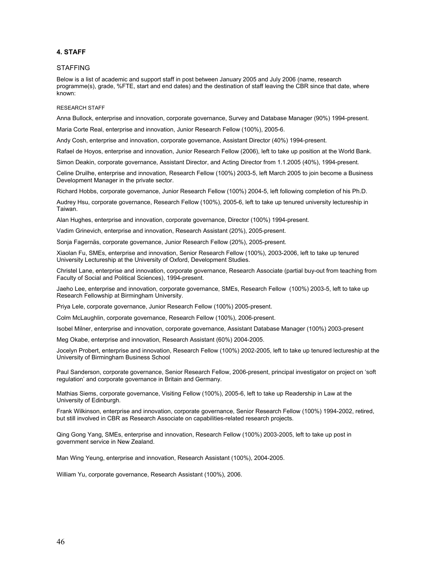### 4. STAFF

#### STAFFING

Below is a list of academic and support staff in post between January 2005 and July 2006 (name, research programme(s), grade, %FTE, start and end dates) and the destination of staff leaving the CBR since that date, where known:

#### RESEARCH STAFF

Anna Bullock, enterprise and innovation, corporate governance, Survey and Database Manager (90%) 1994-present.

Maria Corte Real, enterprise and innovation, Junior Research Fellow (100%), 2005-6.

Andy Cosh, enterprise and innovation, corporate governance, Assistant Director (40%) 1994-present.

Rafael de Hoyos, enterprise and innovation, Junior Research Fellow (2006), left to take up position at the World Bank.

Simon Deakin, corporate governance, Assistant Director, and Acting Director from 1.1.2005 (40%), 1994-present.

Celine Druilhe, enterprise and innovation, Research Fellow (100%) 2003-5, left March 2005 to join become a Business Development Manager in the private sector.

Richard Hobbs, corporate governance, Junior Research Fellow (100%) 2004-5, left following completion of his Ph.D.

Audrey Hsu, corporate governance, Research Fellow (100%), 2005-6, left to take up tenured university lectureship in Taiwan.

Alan Hughes, enterprise and innovation, corporate governance, Director (100%) 1994-present.

Vadim Grinevich, enterprise and innovation, Research Assistant (20%), 2005-present.

Sonja Fagernäs, corporate governance, Junior Research Fellow (20%), 2005-present.

Xiaolan Fu, SMEs, enterprise and innovation, Senior Research Fellow (100%), 2003-2006, left to take up tenured University Lectureship at the University of Oxford, Development Studies.

Christel Lane, enterprise and innovation, corporate governance, Research Associate (partial buy-out from teaching from Faculty of Social and Political Sciences), 1994-present.

Jaeho Lee, enterprise and innovation, corporate governance, SMEs, Research Fellow (100%) 2003-5, left to take up Research Fellowship at Birmingham University.

Priya Lele, corporate governance, Junior Research Fellow (100%) 2005-present.

Colm McLaughlin, corporate governance, Research Fellow (100%), 2006-present.

Isobel Milner, enterprise and innovation, corporate governance, Assistant Database Manager (100%) 2003-present

Meg Okabe, enterprise and innovation, Research Assistant (60%) 2004-2005.

Jocelyn Probert, enterprise and innovation, Research Fellow (100%) 2002-2005, left to take up tenured lectureship at the University of Birmingham Business School

Paul Sanderson, corporate governance, Senior Research Fellow, 2006-present, principal investigator on project on 'soft regulation' and corporate governance in Britain and Germany.

Mathias Siems, corporate governance, Visiting Fellow (100%), 2005-6, left to take up Readership in Law at the University of Edinburgh.

Frank Wilkinson, enterprise and innovation, corporate governance, Senior Research Fellow (100%) 1994-2002, retired, but still involved in CBR as Research Associate on capabilities-related research projects.

Qing Gong Yang, SMEs, enterprise and innovation, Research Fellow (100%) 2003-2005, left to take up post in government service in New Zealand.

Man Wing Yeung, enterprise and innovation, Research Assistant (100%), 2004-2005.

William Yu, corporate governance, Research Assistant (100%), 2006.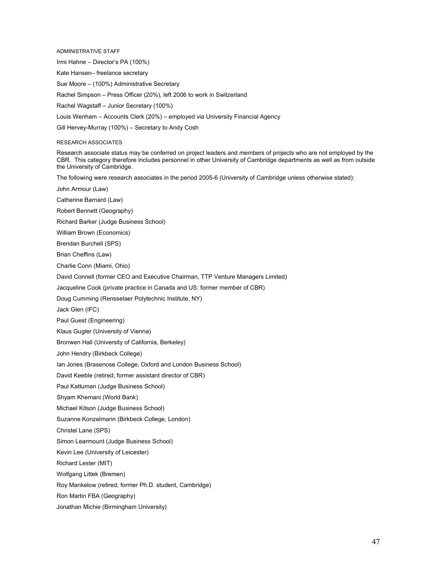ADMINISTRATIVE STAFF Irmi Hahne – Director's PA (100%) Kate Hansen– freelance secretary Sue Moore – (100%) Administrative Secretary Rachel Simpson – Press Officer (20%), left 2006 to work in Switzerland Rachel Wagstaff – Junior Secretary (100%) Louis Wenham – Accounts Clerk (20%) – employed via University Financial Agency Gill Hervey-Murray (100%) – Secretary to Andy Cosh RESEARCH ASSOCIATES Research associate status may be conferred on project leaders and members of projects who are not employed by the CBR. This category therefore includes personnel in other University of Cambridge departments as well as from outside the University of Cambridge. The following were research associates in the period 2005-6 (University of Cambridge unless otherwise stated): John Armour (Law)

Catherine Barnard (Law) Robert Bennett (Geography) Richard Barker (Judge Business School) William Brown (Economics) Brendan Burchell (SPS) Brian Cheffins (Law) Charlie Conn (Miami, Ohio) David Connell (former CEO and Executive Chairman, TTP Venture Managers Limited) Jacqueline Cook (private practice in Canada and US: former member of CBR) Doug Cumming (Rensselaer Polytechnic Institute, NY) Jack Glen (IFC) Paul Guest (Engineering) Klaus Gugler (University of Vienna) Bronwen Hall (University of California, Berkeley) John Hendry (Birkbeck College) Ian Jones (Brasenose College, Oxford and London Business School) David Keeble (retired; former assistant director of CBR) Paul Kattuman (Judge Business School) Shyam Khemani (World Bank) Michael Kitson (Judge Business School) Suzanne Konzelmann (Birkbeck College, London) Christel Lane (SPS) Simon Learmount (Judge Business School)

Kevin Lee (University of Leicester)

Richard Lester (MIT)

Wolfgang Littek (Bremen)

Roy Mankelow (retired; former Ph.D. student, Cambridge)

Ron Martin FBA (Geography)

Jonathan Michie (Birmingham University)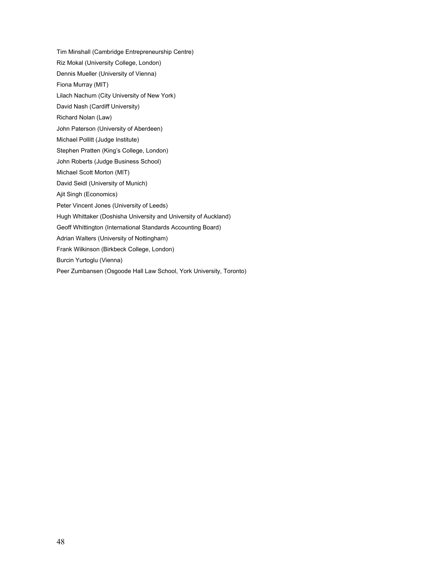Tim Minshall (Cambridge Entrepreneurship Centre) Riz Mokal (University College, London) Dennis Mueller (University of Vienna) Fiona Murray (MIT) Lilach Nachum (City University of New York) David Nash (Cardiff University) Richard Nolan (Law) John Paterson (University of Aberdeen) Michael Pollitt (Judge Institute) Stephen Pratten (King's College, London) John Roberts (Judge Business School) Michael Scott Morton (MIT) David Seidl (University of Munich) Ajit Singh (Economics) Peter Vincent Jones (University of Leeds) Hugh Whittaker (Doshisha University and University of Auckland) Geoff Whittington (International Standards Accounting Board) Adrian Walters (University of Nottingham) Frank Wilkinson (Birkbeck College, London) Burcin Yurtoglu (Vienna) Peer Zumbansen (Osgoode Hall Law School, York University, Toronto)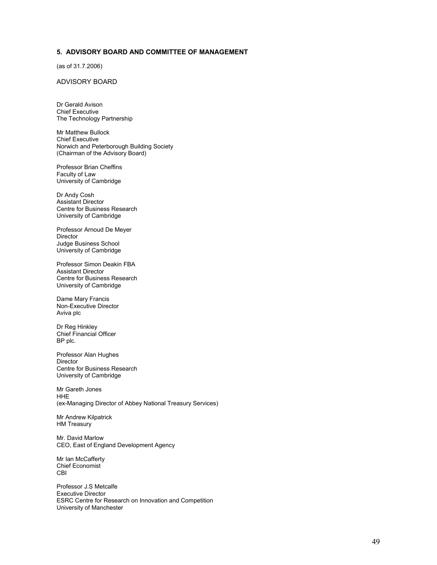# 5. ADVISORY BOARD AND COMMITTEE OF MANAGEMENT

(as of 31.7.2006)

### ADVISORY BOARD

Dr Gerald Avison Chief Executive The Technology Partnership

Mr Matthew Bullock Chief Executive Norwich and Peterborough Building Society (Chairman of the Advisory Board)

Professor Brian Cheffins Faculty of Law University of Cambridge

Dr Andy Cosh Assistant Director Centre for Business Research University of Cambridge

Professor Arnoud De Meyer Director Judge Business School University of Cambridge

Professor Simon Deakin FBA Assistant Director Centre for Business Research University of Cambridge

Dame Mary Francis Non-Executive Director Aviva plc

Dr Reg Hinkley Chief Financial Officer BP plc.

Professor Alan Hughes Director Centre for Business Research University of Cambridge

Mr Gareth Jones **HHE** (ex-Managing Director of Abbey National Treasury Services)

Mr Andrew Kilpatrick HM Treasury

Mr. David Marlow CEO, East of England Development Agency

Mr Ian McCafferty Chief Economist CBI

Professor J.S Metcalfe Executive Director ESRC Centre for Research on Innovation and Competition University of Manchester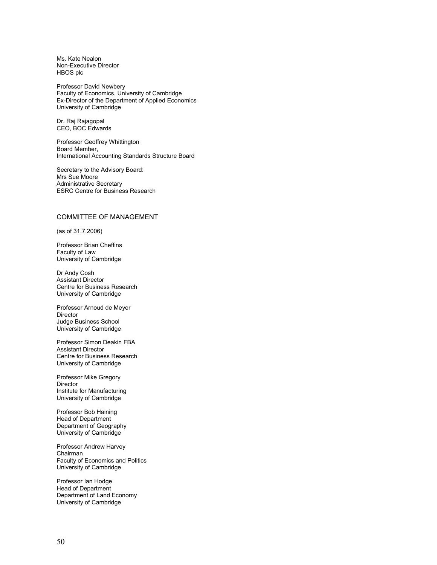Ms. Kate Nealon Non-Executive Director HBOS plc

Professor David Newbery Faculty of Economics, University of Cambridge Ex-Director of the Department of Applied Economics University of Cambridge

Dr. Raj Rajagopal CEO, BOC Edwards

Professor Geoffrey Whittington Board Member, International Accounting Standards Structure Board

Secretary to the Advisory Board: Mrs Sue Moore Administrative Secretary ESRC Centre for Business Research

### COMMITTEE OF MANAGEMENT

(as of 31.7.2006)

Professor Brian Cheffins Faculty of Law University of Cambridge

Dr Andy Cosh Assistant Director Centre for Business Research University of Cambridge

Professor Arnoud de Meyer Director Judge Business School University of Cambridge

Professor Simon Deakin FBA Assistant Director Centre for Business Research University of Cambridge

Professor Mike Gregory Director Institute for Manufacturing University of Cambridge

Professor Bob Haining Head of Department Department of Geography University of Cambridge

Professor Andrew Harvey Chairman Faculty of Economics and Politics University of Cambridge

Professor Ian Hodge Head of Department Department of Land Economy University of Cambridge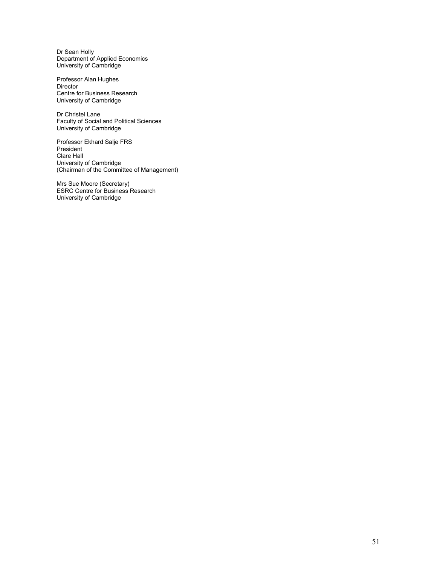Dr Sean Holly Department of Applied Economics University of Cambridge

Professor Alan Hughes Director Centre for Business Research University of Cambridge

Dr Christel Lane Faculty of Social and Political Sciences University of Cambridge

Professor Ekhard Salje FRS President Clare Hall University of Cambridge (Chairman of the Committee of Management)

Mrs Sue Moore (Secretary) ESRC Centre for Business Research University of Cambridge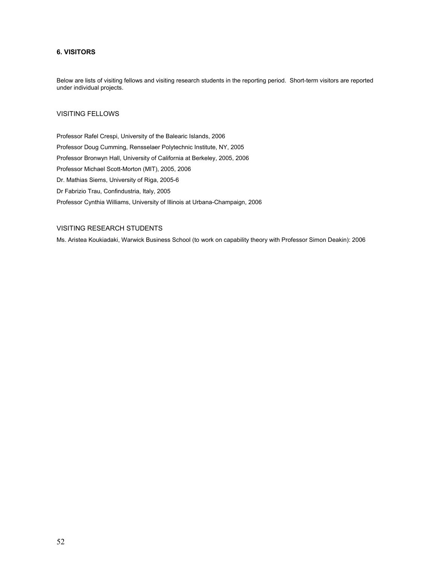# 6. VISITORS

Below are lists of visiting fellows and visiting research students in the reporting period. Short-term visitors are reported under individual projects.

# VISITING FELLOWS

Professor Rafel Crespi, University of the Balearic Islands, 2006 Professor Doug Cumming, Rensselaer Polytechnic Institute, NY, 2005 Professor Bronwyn Hall, University of California at Berkeley, 2005, 2006 Professor Michael Scott-Morton (MIT), 2005, 2006 Dr. Mathias Siems, University of Riga, 2005-6 Dr Fabrizio Trau, Confindustria, Italy, 2005 Professor Cynthia Williams, University of Illinois at Urbana-Champaign, 2006

# VISITING RESEARCH STUDENTS

Ms. Aristea Koukiadaki, Warwick Business School (to work on capability theory with Professor Simon Deakin): 2006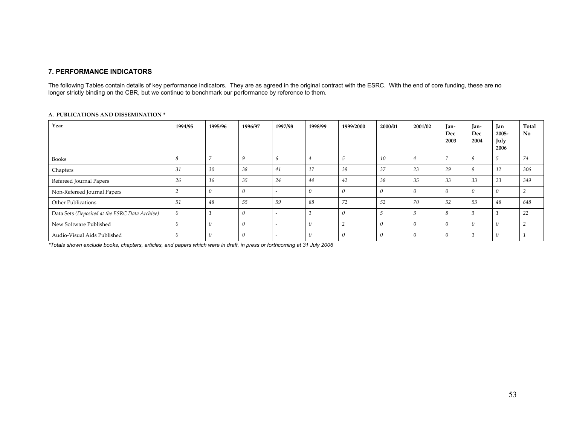### 7. PERFORMANCE INDICATORS

The following Tables contain details of key performance indicators. They are as agreed in the original contract with the ESRC. With the end of core funding, these are no<br>longer strictly binding on the CBR, but we continu

#### A. PUBLICATIONS AND DISSEMINATION \*

| Year                                           | 1994/95  | 1995/96 | 1996/97 | 1997/98                  | 1998/99        | 1999/2000       | 2000/01  | 2001/02 | Tan-<br>Dec<br>2003 | Jan-<br>Dec<br>2004 | Jan<br>2005-<br>July<br>2006 | Total<br>No |
|------------------------------------------------|----------|---------|---------|--------------------------|----------------|-----------------|----------|---------|---------------------|---------------------|------------------------------|-------------|
| <b>Books</b>                                   |          |         |         | b                        | $\overline{4}$ | 5               | 10       | 4       |                     | 9                   | $\overline{a}$<br>$\Delta$   | 74          |
| Chapters                                       | 31       | 30      | 38      | 41                       | 17             | 39              | 37       | 23      | 29                  | 9                   | 12                           | 306         |
| Refereed Journal Papers                        | 26       | 16      | 35      | 24                       | 44             | 42              | 38       | 35      | 33                  | 33                  | 23                           | 349         |
| Non-Refereed Journal Papers                    |          |         |         | $\overline{\phantom{a}}$ |                |                 |          |         |                     | 0                   |                              |             |
| Other Publications                             | 51       | 48      | 55      | 59                       | 88             | 72              | 52       | 70      | 52                  | 53                  | 48                           | 648         |
| Data Sets (Deposited at the ESRC Data Archive) | $\theta$ |         |         | $\overline{\phantom{a}}$ |                | 0               | 5        | - 3     |                     | 3                   |                              | 22          |
| New Software Published                         |          |         |         | $\overline{\phantom{a}}$ |                | $\sqrt{2}$<br>∠ |          |         |                     | 0                   | $\Omega$                     |             |
| Audio-Visual Aids Published                    |          |         |         | $\overline{\phantom{a}}$ |                |                 | $\theta$ |         | $\theta$            |                     | $\Omega$                     |             |

\*Totals shown exclude books, chapters, articles, and papers which were in draft, in press or forthcoming at 31 July 2006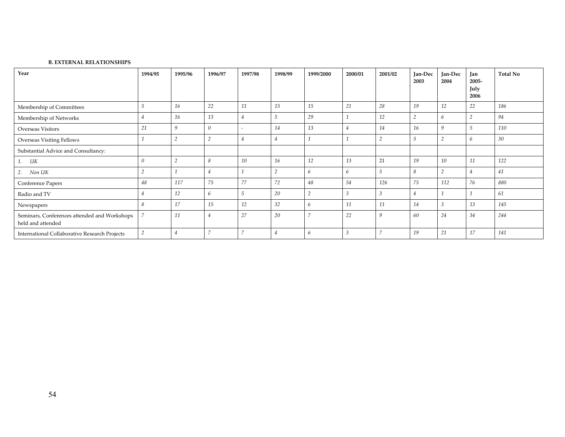#### B. EXTERNAL RELATIONSHIPS

| Year                                                              | 1994/95  | 1995/96        | 1996/97        | 1997/98        | 1998/99 | 1999/2000      | 2000/01 | 2001/02        | Jan-Dec<br>2003 | Jan-Dec<br>2004 | <b>Ian</b><br>2005-<br>July<br>2006 | <b>Total No</b> |
|-------------------------------------------------------------------|----------|----------------|----------------|----------------|---------|----------------|---------|----------------|-----------------|-----------------|-------------------------------------|-----------------|
| Membership of Committees                                          |          | 16             | 22             | 11             | 15      | 15             | 21      | 28             | 19              | 12              | 22                                  | 186             |
| Membership of Networks                                            | 4        | 16             | 13             | $\overline{4}$ |         | 29             |         | 12             | $\overline{2}$  | 6               |                                     | 94              |
| <b>Overseas Visitors</b>                                          | 21       | 9              | $\theta$       |                | 14      | 13             | 4       | 14             | 16              | q               |                                     | 110             |
| Overseas Visiting Fellows                                         |          | 2              | 2              | 4              | 4       |                |         | ◠<br>∠         | 5               | $\sim$<br>∠     | 6                                   | 30              |
| Substantial Advice and Consultancy:                               |          |                |                |                |         |                |         |                |                 |                 |                                     |                 |
| 1.<br>UK                                                          | $\theta$ | $\overline{2}$ | 8              | 10             | 16      | 12             | 13      | 21             | 19              | 10              | 11                                  | 122             |
| Non UK<br>2.                                                      |          |                | 4              |                |         | 6              | 6       | $\overline{5}$ | 8               | $\Delta$        | $4^{\circ}$                         | 41              |
| Conference Papers                                                 | 48       | 117            | 75             | 77             | 72      | 48             | 54      | 126            | 75              | 112             | 76                                  | 880             |
| Radio and TV                                                      | 4        | 12             | 6              | 5              | 20      | $\overline{2}$ |         |                | 4               |                 |                                     | 61              |
| Newspapers                                                        | 8        | 17             | 15             | 12             | 32      | 6              | 11      | 11             | 14              | $\sim$          | 13                                  | 145             |
| Seminars, Conferences attended and Workshops<br>held and attended |          | 11             | $\overline{4}$ | 27             | 20      | $\overline{ }$ | 22      | q              | 60              | 24              | 34                                  | 244             |
| International Collaborative Research Projects                     | 2        | 4              | $\overline{7}$ | -              | 4       | 6              |         | $\overline{z}$ | 19              | 21              | 17                                  | 141             |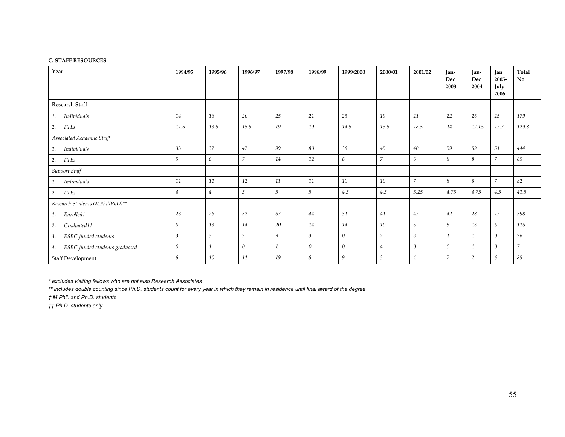#### C. STAFF RESOURCES

| Year                                 | 1994/95          | 1995/96        | 1996/97          | 1997/98        | 1998/99          | 1999/2000        | 2000/01        | 2001/02        | Jan-<br>Dec<br>2003 | Jan-<br>Dec<br>2004 | Jan<br>2005-<br>July<br>2006 | Total<br>No.   |
|--------------------------------------|------------------|----------------|------------------|----------------|------------------|------------------|----------------|----------------|---------------------|---------------------|------------------------------|----------------|
| <b>Research Staff</b>                |                  |                |                  |                |                  |                  |                |                |                     |                     |                              |                |
| Individuals<br>1.                    | 14               | 16             | 20               | 25             | 21               | 23               | 19             | 21             | 22                  | 26                  | 25                           | 179            |
| <b>FTEs</b><br>2.                    | 11.5             | 13.5           | 15.5             | 19             | 19               | 14.5             | 13.5           | 18.5           | 14                  | 12.15               | 17.7                         | 129.8          |
| Associated Academic Staff*           |                  |                |                  |                |                  |                  |                |                |                     |                     |                              |                |
| Individuals<br>1.                    | 33               | 37             | 47               | 99             | 80               | 38               | 45             | 40             | 59                  | 59                  | 51                           | 444            |
| <b>FTEs</b><br>2.                    | 5                | 6              | $\overline{7}$   | 14             | 12               | 6                | $\overline{7}$ | 6              | 8                   | 8                   | 7                            | 65             |
| Support Staff                        |                  |                |                  |                |                  |                  |                |                |                     |                     |                              |                |
| Individuals<br>1.                    | 11               | 11             | 12               | 11             | 11               | 10               | 10             | $\overline{7}$ | 8                   | 8                   | $\overline{7}$               | 82             |
| <b>FTEs</b><br>2.                    | $\overline{4}$   | $\overline{4}$ | 5                | $\overline{5}$ | 5                | 4.5              | 4.5            | 5.25           | 4.75                | 4.75                | 4.5                          | 41.5           |
| Research Students (MPhil/PhD)**      |                  |                |                  |                |                  |                  |                |                |                     |                     |                              |                |
| Enrolled†<br>1.                      | 23               | 26             | 32               | 67             | 44               | 31               | 41             | 47             | 42                  | 28                  | 17                           | 398            |
| Graduated <sup>++</sup><br>2.        | $\boldsymbol{0}$ | 13             | 14               | 20             | 14               | 14               | 10             | 5              | 8                   | 13                  | 6                            | 115            |
| ESRC-funded students<br>3.           | $\mathfrak{Z}$   | $\overline{3}$ | $\overline{2}$   | 9              | $\mathfrak{Z}$   | $\theta$         | $\overline{2}$ | $\mathfrak{Z}$ | $\overline{1}$      | $\mathbf{1}$        | $\theta$                     | 26             |
| ESRC-funded students graduated<br>4. | $\boldsymbol{0}$ | $\mathbf{1}$   | $\boldsymbol{0}$ | $\mathbf{1}$   | $\boldsymbol{0}$ | $\boldsymbol{0}$ | $\overline{4}$ | $\theta$       | $\theta$            | $\mathbf{1}$        | 0                            | $\overline{7}$ |
| Staff Development                    | 6                | 10             | 11               | 19             | 8                | 9                | $\mathbf{3}$   | $\overline{4}$ | $\overline{7}$      | $\overline{2}$      | 6                            | 85             |

\* excludes visiting fellows who are not also Research Associates

\*\* includes double counting since Ph.D. students count for every year in which they remain in residence until final award of the degree

† M.Phil. and Ph.D. students

†† Ph.D. students only